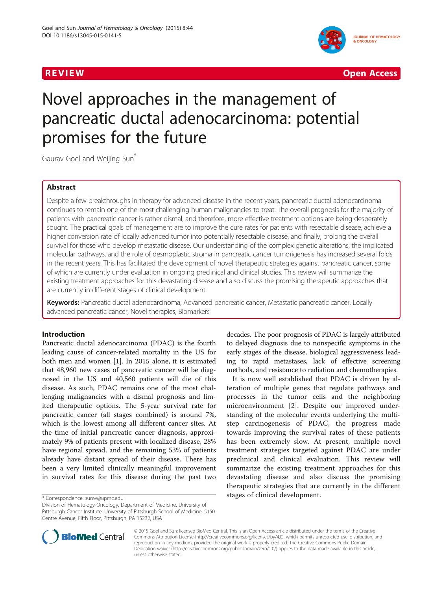

R EVI EW Open Access of the United States of the United States of the United States of the United States of th

# Novel approaches in the management of pancreatic ductal adenocarcinoma: potential promises for the future

Gaurav Goel and Weijing Sun<sup>\*</sup>

# Abstract

Despite a few breakthroughs in therapy for advanced disease in the recent years, pancreatic ductal adenocarcinoma continues to remain one of the most challenging human malignancies to treat. The overall prognosis for the majority of patients with pancreatic cancer is rather dismal, and therefore, more effective treatment options are being desperately sought. The practical goals of management are to improve the cure rates for patients with resectable disease, achieve a higher conversion rate of locally advanced tumor into potentially resectable disease, and finally, prolong the overall survival for those who develop metastatic disease. Our understanding of the complex genetic alterations, the implicated molecular pathways, and the role of desmoplastic stroma in pancreatic cancer tumorigenesis has increased several folds in the recent years. This has facilitated the development of novel therapeutic strategies against pancreatic cancer, some of which are currently under evaluation in ongoing preclinical and clinical studies. This review will summarize the existing treatment approaches for this devastating disease and also discuss the promising therapeutic approaches that are currently in different stages of clinical development.

Keywords: Pancreatic ductal adenocarcinoma, Advanced pancreatic cancer, Metastatic pancreatic cancer, Locally advanced pancreatic cancer, Novel therapies, Biomarkers

# Introduction

Pancreatic ductal adenocarcinoma (PDAC) is the fourth leading cause of cancer-related mortality in the US for both men and women [[1](#page-12-0)]. In 2015 alone, it is estimated that 48,960 new cases of pancreatic cancer will be diagnosed in the US and 40,560 patients will die of this disease. As such, PDAC remains one of the most challenging malignancies with a dismal prognosis and limited therapeutic options. The 5-year survival rate for pancreatic cancer (all stages combined) is around 7%, which is the lowest among all different cancer sites. At the time of initial pancreatic cancer diagnosis, approximately 9% of patients present with localized disease, 28% have regional spread, and the remaining 53% of patients already have distant spread of their disease. There has been a very limited clinically meaningful improvement in survival rates for this disease during the past two

Division of Hematology-Oncology, Department of Medicine, University of Pittsburgh Cancer Institute, University of Pittsburgh School of Medicine, 5150 Centre Avenue, Fifth Floor, Pittsburgh, PA 15232, USA

decades. The poor prognosis of PDAC is largely attributed to delayed diagnosis due to nonspecific symptoms in the early stages of the disease, biological aggressiveness leading to rapid metastases, lack of effective screening methods, and resistance to radiation and chemotherapies.

It is now well established that PDAC is driven by alteration of multiple genes that regulate pathways and processes in the tumor cells and the neighboring microenvironment [\[2](#page-12-0)]. Despite our improved understanding of the molecular events underlying the multistep carcinogenesis of PDAC, the progress made towards improving the survival rates of these patients has been extremely slow. At present, multiple novel treatment strategies targeted against PDAC are under preclinical and clinical evaluation. This review will summarize the existing treatment approaches for this devastating disease and also discuss the promising therapeutic strategies that are currently in the different stages of clinical development. \* Correspondence: [sunw@upmc.edu](mailto:sunw@upmc.edu)



© 2015 Goel and Sun; licensee BioMed Central. This is an Open Access article distributed under the terms of the Creative Commons Attribution License [\(http://creativecommons.org/licenses/by/4.0\)](http://creativecommons.org/licenses/by/4.0), which permits unrestricted use, distribution, and reproduction in any medium, provided the original work is properly credited. The Creative Commons Public Domain Dedication waiver [\(http://creativecommons.org/publicdomain/zero/1.0/](http://creativecommons.org/publicdomain/zero/1.0/)) applies to the data made available in this article, unless otherwise stated.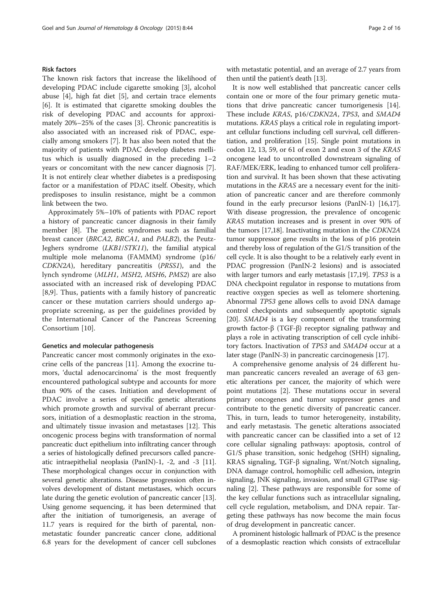#### Risk factors

The known risk factors that increase the likelihood of developing PDAC include cigarette smoking [\[3](#page-12-0)], alcohol abuse [\[4](#page-12-0)], high fat diet [[5\]](#page-12-0), and certain trace elements [[6\]](#page-12-0). It is estimated that cigarette smoking doubles the risk of developing PDAC and accounts for approximately 20%–25% of the cases [\[3\]](#page-12-0). Chronic pancreatitis is also associated with an increased risk of PDAC, especially among smokers [[7](#page-12-0)]. It has also been noted that the majority of patients with PDAC develop diabetes mellitus which is usually diagnosed in the preceding 1–2 years or concomitant with the new cancer diagnosis [\[7](#page-12-0)]. It is not entirely clear whether diabetes is a predisposing factor or a manifestation of PDAC itself. Obesity, which predisposes to insulin resistance, might be a common link between the two.

Approximately 5%–10% of patients with PDAC report a history of pancreatic cancer diagnosis in their family member [[8](#page-12-0)]. The genetic syndromes such as familial breast cancer (BRCA2, BRCA1, and PALB2), the Peutz-Jeghers syndrome (LKB1/STK11), the familial atypical multiple mole melanoma (FAMMM) syndrome (p16/ CDKN2A), hereditary pancreatitis (PRSS1), and the lynch syndrome (MLH1, MSH2, MSH6, PMS2) are also associated with an increased risk of developing PDAC [[8,9](#page-12-0)]. Thus, patients with a family history of pancreatic cancer or these mutation carriers should undergo appropriate screening, as per the guidelines provided by the International Cancer of the Pancreas Screening Consortium [[10\]](#page-12-0).

### Genetics and molecular pathogenesis

Pancreatic cancer most commonly originates in the exocrine cells of the pancreas [[11\]](#page-12-0). Among the exocrine tumors, 'ductal adenocarcinoma' is the most frequently encountered pathological subtype and accounts for more than 90% of the cases. Initiation and development of PDAC involve a series of specific genetic alterations which promote growth and survival of aberrant precursors, initiation of a desmoplastic reaction in the stroma, and ultimately tissue invasion and metastases [[12](#page-12-0)]. This oncogenic process begins with transformation of normal pancreatic duct epithelium into infiltrating cancer through a series of histologically defined precursors called pancreatic intraepithelial neoplasia (PanIN)-1, -2, and -3 [[11](#page-12-0)]. These morphological changes occur in conjunction with several genetic alterations. Disease progression often involves development of distant metastases, which occurs late during the genetic evolution of pancreatic cancer [[13](#page-12-0)]. Using genome sequencing, it has been determined that after the initiation of tumorigenesis, an average of 11.7 years is required for the birth of parental, nonmetastatic founder pancreatic cancer clone, additional 6.8 years for the development of cancer cell subclones with metastatic potential, and an average of 2.7 years from then until the patient's death [[13](#page-12-0)].

It is now well established that pancreatic cancer cells contain one or more of the four primary genetic mutations that drive pancreatic cancer tumorigenesis [\[14](#page-12-0)]. These include KRAS, p16/CDKN2A, TP53, and SMAD4 mutations. KRAS plays a critical role in regulating important cellular functions including cell survival, cell differentiation, and proliferation [\[15\]](#page-12-0). Single point mutations in codon 12, 13, 59, or 61 of exon 2 and exon 3 of the KRAS oncogene lead to uncontrolled downstream signaling of RAF/MEK/ERK, leading to enhanced tumor cell proliferation and survival. It has been shown that these activating mutations in the KRAS are a necessary event for the initiation of pancreatic cancer and are therefore commonly found in the early precursor lesions (PanIN-1) [\[16,17](#page-12-0)]. With disease progression, the prevalence of oncogenic KRAS mutation increases and is present in over 90% of the tumors [\[17,18](#page-12-0)]. Inactivating mutation in the CDKN2A tumor suppressor gene results in the loss of p16 protein and thereby loss of regulation of the G1/S transition of the cell cycle. It is also thought to be a relatively early event in PDAC progression (PanIN-2 lesions) and is associated with larger tumors and early metastasis [[17,19](#page-12-0)]. TP53 is a DNA checkpoint regulator in response to mutations from reactive oxygen species as well as telomere shortening. Abnormal TP53 gene allows cells to avoid DNA damage control checkpoints and subsequently apoptotic signals [[20](#page-12-0)]. SMAD4 is a key component of the transforming growth factor-β (TGF-β) receptor signaling pathway and plays a role in activating transcription of cell cycle inhibitory factors. Inactivation of TP53 and SMAD4 occur at a later stage (PanIN-3) in pancreatic carcinogenesis [\[17\]](#page-12-0).

A comprehensive genome analysis of 24 different human pancreatic cancers revealed an average of 63 genetic alterations per cancer, the majority of which were point mutations [\[2](#page-12-0)]. These mutations occur in several primary oncogenes and tumor suppressor genes and contribute to the genetic diversity of pancreatic cancer. This, in turn, leads to tumor heterogeneity, instability, and early metastasis. The genetic alterations associated with pancreatic cancer can be classified into a set of 12 core cellular signaling pathways: apoptosis, control of G1/S phase transition, sonic hedgehog (SHH) signaling, KRAS signaling, TGF-β signaling, Wnt/Notch signaling, DNA damage control, homophilic cell adhesion, integrin signaling, JNK signaling, invasion, and small GTPase signaling [\[2](#page-12-0)]. These pathways are responsible for some of the key cellular functions such as intracellular signaling, cell cycle regulation, metabolism, and DNA repair. Targeting these pathways has now become the main focus of drug development in pancreatic cancer.

A prominent histologic hallmark of PDAC is the presence of a desmoplastic reaction which consists of extracellular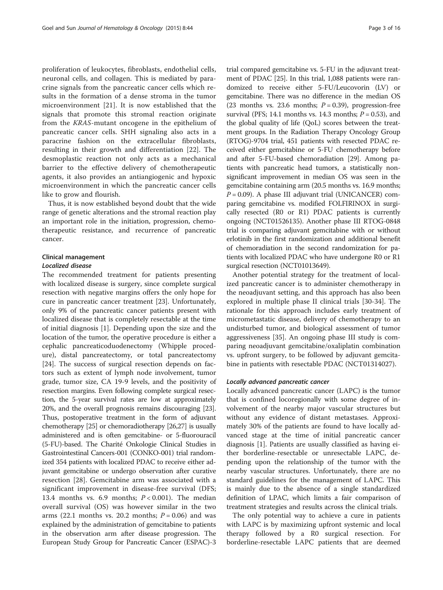proliferation of leukocytes, fibroblasts, endothelial cells, neuronal cells, and collagen. This is mediated by paracrine signals from the pancreatic cancer cells which results in the formation of a dense stroma in the tumor microenvironment [[21](#page-12-0)]. It is now established that the signals that promote this stromal reaction originate from the KRAS-mutant oncogene in the epithelium of pancreatic cancer cells. SHH signaling also acts in a paracrine fashion on the extracellular fibroblasts, resulting in their growth and differentiation [\[22](#page-12-0)]. The desmoplastic reaction not only acts as a mechanical barrier to the effective delivery of chemotherapeutic agents, it also provides an antiangiogenic and hypoxic microenvironment in which the pancreatic cancer cells like to grow and flourish.

Thus, it is now established beyond doubt that the wide range of genetic alterations and the stromal reaction play an important role in the initiation, progression, chemotherapeutic resistance, and recurrence of pancreatic cancer.

# Clinical management

# Localized disease

The recommended treatment for patients presenting with localized disease is surgery, since complete surgical resection with negative margins offers the only hope for cure in pancreatic cancer treatment [[23](#page-12-0)]. Unfortunately, only 9% of the pancreatic cancer patients present with localized disease that is completely resectable at the time of initial diagnosis [[1\]](#page-12-0). Depending upon the size and the location of the tumor, the operative procedure is either a cephalic pancreaticoduodenectomy (Whipple procedure), distal pancreatectomy, or total pancreatectomy [[24\]](#page-12-0). The success of surgical resection depends on factors such as extent of lymph node involvement, tumor grade, tumor size, CA 19-9 levels, and the positivity of resection margins. Even following complete surgical resection, the 5-year survival rates are low at approximately 20%, and the overall prognosis remains discouraging [[23](#page-12-0)]. Thus, postoperative treatment in the form of adjuvant chemotherapy [[25](#page-12-0)] or chemoradiotherapy [\[26,27](#page-12-0)] is usually administered and is often gemcitabine- or 5-fluorouracil (5-FU)-based. The Charité Onkologie Clinical Studies in Gastrointestinal Cancers-001 (CONKO-001) trial randomized 354 patients with localized PDAC to receive either adjuvant gemcitabine or undergo observation after curative resection [[28\]](#page-12-0). Gemcitabine arm was associated with a significant improvement in disease-free survival (DFS; 13.4 months vs. 6.9 months;  $P < 0.001$ ). The median overall survival (OS) was however similar in the two arms (22.1 months vs. 20.2 months;  $P = 0.06$ ) and was explained by the administration of gemcitabine to patients in the observation arm after disease progression. The European Study Group for Pancreatic Cancer (ESPAC)-3

trial compared gemcitabine vs. 5-FU in the adjuvant treatment of PDAC [[25](#page-12-0)]. In this trial, 1,088 patients were randomized to receive either 5-FU/Leucovorin (LV) or gemcitabine. There was no difference in the median OS (23 months vs. 23.6 months;  $P = 0.39$ ), progression-free survival (PFS; 14.1 months vs. 14.3 months;  $P = 0.53$ ), and the global quality of life (QoL) scores between the treatment groups. In the Radiation Therapy Oncology Group (RTOG)-9704 trial, 451 patients with resected PDAC received either gemcitabine or 5-FU chemotherapy before and after 5-FU-based chemoradiation [[29](#page-12-0)]. Among patients with pancreatic head tumors, a statistically nonsignificant improvement in median OS was seen in the gemcitabine containing arm (20.5 months vs. 16.9 months;  $P = 0.09$ ). A phase III adjuvant trial (UNICANCER) comparing gemcitabine vs. modified FOLFIRINOX in surgically resected (R0 or R1) PDAC patients is currently ongoing (NCT01526135). Another phase III RTOG-0848 trial is comparing adjuvant gemcitabine with or without erlotinib in the first randomization and additional benefit of chemoradiation in the second randomization for patients with localized PDAC who have undergone R0 or R1 surgical resection (NCT01013649).

Another potential strategy for the treatment of localized pancreatic cancer is to administer chemotherapy in the neoadjuvant setting, and this approach has also been explored in multiple phase II clinical trials [\[30-](#page-12-0)[34](#page-13-0)]. The rationale for this approach includes early treatment of micrometastatic disease, delivery of chemotherapy to an undisturbed tumor, and biological assessment of tumor aggressiveness [[35\]](#page-13-0). An ongoing phase III study is comparing neoadjuvant gemcitabine/oxaliplatin combination vs. upfront surgery, to be followed by adjuvant gemcitabine in patients with resectable PDAC (NCT01314027).

#### Locally advanced pancreatic cancer

Locally advanced pancreatic cancer (LAPC) is the tumor that is confined locoregionally with some degree of involvement of the nearby major vascular structures but without any evidence of distant metastases. Approximately 30% of the patients are found to have locally advanced stage at the time of initial pancreatic cancer diagnosis [[1\]](#page-12-0). Patients are usually classified as having either borderline-resectable or unresectable LAPC, depending upon the relationship of the tumor with the nearby vascular structures. Unfortunately, there are no standard guidelines for the management of LAPC. This is mainly due to the absence of a single standardized definition of LPAC, which limits a fair comparison of treatment strategies and results across the clinical trials.

The only potential way to achieve a cure in patients with LAPC is by maximizing upfront systemic and local therapy followed by a R0 surgical resection. For borderline-resectable LAPC patients that are deemed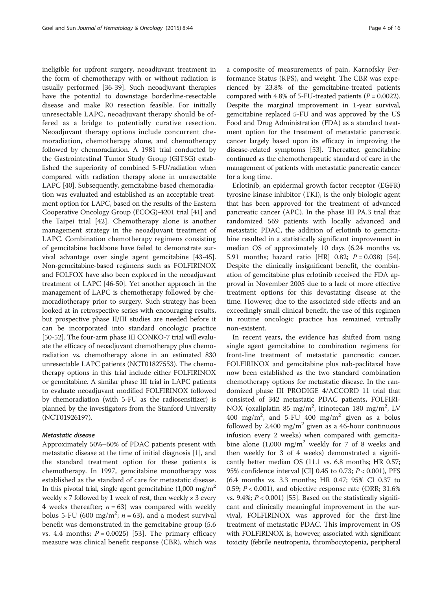ineligible for upfront surgery, neoadjuvant treatment in the form of chemotherapy with or without radiation is usually performed [[36-39\]](#page-13-0). Such neoadjuvant therapies have the potential to downstage borderline-resectable disease and make R0 resection feasible. For initially unresectable LAPC, neoadjuvant therapy should be offered as a bridge to potentially curative resection. Neoadjuvant therapy options include concurrent chemoradiation, chemotherapy alone, and chemotherapy followed by chemoradiation. A 1981 trial conducted by the Gastrointestinal Tumor Study Group (GITSG) established the superiority of combined 5-FU/radiation when compared with radiation therapy alone in unresectable LAPC [\[40](#page-13-0)]. Subsequently, gemcitabine-based chemoradiation was evaluated and established as an acceptable treatment option for LAPC, based on the results of the Eastern Cooperative Oncology Group (ECOG)-4201 trial [[41\]](#page-13-0) and the Taipei trial [[42](#page-13-0)]. Chemotherapy alone is another management strategy in the neoadjuvant treatment of LAPC. Combination chemotherapy regimens consisting of gemcitabine backbone have failed to demonstrate survival advantage over single agent gemcitabine [[43](#page-13-0)-[45](#page-13-0)]. Non-gemcitabine-based regimens such as FOLFIRINOX and FOLFOX have also been explored in the neoadjuvant treatment of LAPC [\[46](#page-13-0)-[50](#page-13-0)]. Yet another approach in the management of LAPC is chemotherapy followed by chemoradiotherapy prior to surgery. Such strategy has been looked at in retrospective series with encouraging results, but prospective phase II/III studies are needed before it can be incorporated into standard oncologic practice [[50](#page-13-0)-[52\]](#page-13-0). The four-arm phase III CONKO-7 trial will evaluate the efficacy of neoadjuvant chemotherapy plus chemoradiation vs. chemotherapy alone in an estimated 830 unresectable LAPC patients (NCT01827553). The chemotherapy options in this trial include either FOLFIRINOX or gemcitabine. A similar phase III trial in LAPC patients to evaluate neoadjuvant modified FOLFIRINOX followed by chemoradiation (with 5-FU as the radiosensitizer) is planned by the investigators from the Stanford University (NCT01926197).

#### Metastatic disease

Approximately 50%–60% of PDAC patients present with metastatic disease at the time of initial diagnosis [\[1](#page-12-0)], and the standard treatment option for these patients is chemotherapy. In 1997, gemcitabine monotherapy was established as the standard of care for metastatic disease. In this pivotal trial, single agent gemcitabine  $(1,000 \text{ mg/m}^2)$ weekly  $\times$  7 followed by 1 week of rest, then weekly  $\times$  3 every 4 weeks thereafter;  $n = 63$ ) was compared with weekly bolus 5-FU (600 mg/m<sup>2</sup>;  $n = 63$ ), and a modest survival benefit was demonstrated in the gemcitabine group (5.6 vs. 4.4 months;  $P = 0.0025$  [[53](#page-13-0)]. The primary efficacy measure was clinical benefit response (CBR), which was

a composite of measurements of pain, Karnofsky Performance Status (KPS), and weight. The CBR was experienced by 23.8% of the gemcitabine-treated patients compared with 4.8% of 5-FU-treated patients ( $P = 0.0022$ ). Despite the marginal improvement in 1-year survival, gemcitabine replaced 5-FU and was approved by the US Food and Drug Administration (FDA) as a standard treatment option for the treatment of metastatic pancreatic cancer largely based upon its efficacy in improving the disease-related symptoms [[53\]](#page-13-0). Thereafter, gemcitabine continued as the chemotherapeutic standard of care in the management of patients with metastatic pancreatic cancer for a long time.

Erlotinib, an epidermal growth factor receptor (EGFR) tyrosine kinase inhibitor (TKI), is the only biologic agent that has been approved for the treatment of advanced pancreatic cancer (APC). In the phase III PA.3 trial that randomized 569 patients with locally advanced and metastatic PDAC, the addition of erlotinib to gemcitabine resulted in a statistically significant improvement in median OS of approximately 10 days (6.24 months vs. 5.91 months; hazard ratio [HR] 0.82; P = 0.038) [\[54](#page-13-0)]. Despite the clinically insignificant benefit, the combination of gemcitabine plus erlotinib received the FDA approval in November 2005 due to a lack of more effective treatment options for this devastating disease at the time. However, due to the associated side effects and an exceedingly small clinical benefit, the use of this regimen in routine oncologic practice has remained virtually non-existent.

In recent years, the evidence has shifted from using single agent gemcitabine to combination regimens for front-line treatment of metastatic pancreatic cancer. FOLFIRINOX and gemcitabine plus nab-paclitaxel have now been established as the two standard combination chemotherapy options for metastatic disease. In the randomized phase III PRODIGE 4/ACCORD 11 trial that consisted of 342 metastatic PDAC patients, FOLFIRI-NOX (oxaliplatin 85 mg/m<sup>2</sup>, irinotecan 180 mg/m<sup>2</sup>, LV 400 mg/m<sup>2</sup>, and 5-FU 400 mg/m<sup>2</sup> given as a bolus followed by 2,400 mg/m<sup>2</sup> given as a 46-hour continuous infusion every 2 weeks) when compared with gemcitabine alone  $(1,000 \text{ mg/m}^2$  weekly for 7 of 8 weeks and then weekly for 3 of 4 weeks) demonstrated a significantly better median OS (11.1 vs. 6.8 months; HR 0.57; 95% confidence interval [CI] 0.45 to 0.73;  $P < 0.001$ ), PFS (6.4 months vs. 3.3 months; HR 0.47; 95% CI 0.37 to 0.59;  $P < 0.001$ ), and objective response rate (ORR; 31.6%) vs. 9.4%;  $P < 0.001$ ) [\[55\]](#page-13-0). Based on the statistically significant and clinically meaningful improvement in the survival, FOLFIRINOX was approved for the first-line treatment of metastatic PDAC. This improvement in OS with FOLFIRINOX is, however, associated with significant toxicity (febrile neutropenia, thrombocytopenia, peripheral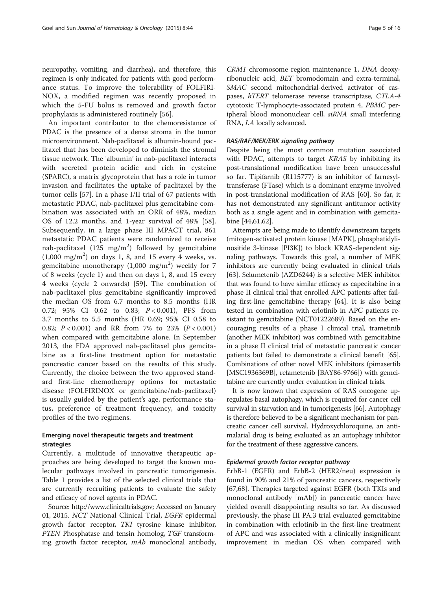neuropathy, vomiting, and diarrhea), and therefore, this regimen is only indicated for patients with good performance status. To improve the tolerability of FOLFIRI-NOX, a modified regimen was recently proposed in which the 5-FU bolus is removed and growth factor prophylaxis is administered routinely [[56\]](#page-13-0).

An important contributor to the chemoresistance of PDAC is the presence of a dense stroma in the tumor microenvironment. Nab-paclitaxel is albumin-bound paclitaxel that has been developed to diminish the stromal tissue network. The 'albumin' in nab-paclitaxel interacts with secreted protein acidic and rich in cysteine (SPARC), a matrix glycoprotein that has a role in tumor invasion and facilitates the uptake of paclitaxel by the tumor cells [\[57](#page-13-0)]. In a phase I/II trial of 67 patients with metastatic PDAC, nab-paclitaxel plus gemcitabine combination was associated with an ORR of 48%, median OS of 12.2 months, and 1-year survival of 48% [\[58](#page-13-0)]. Subsequently, in a large phase III MPACT trial, 861 metastatic PDAC patients were randomized to receive nab-paclitaxel (125  $\text{mg/m}^2$ ) followed by gemcitabine  $(1,000 \text{ mg/m}^2)$  on days 1, 8, and 15 every 4 weeks, vs. gemcitabine monotherapy  $(1,000 \, \text{mg/m}^2)$  weekly for 7 of 8 weeks (cycle 1) and then on days 1, 8, and 15 every 4 weeks (cycle 2 onwards) [[59\]](#page-13-0). The combination of nab-paclitaxel plus gemcitabine significantly improved the median OS from 6.7 months to 8.5 months (HR 0.72; 95% CI 0.62 to 0.83;  $P < 0.001$ ), PFS from 3.7 months to 5.5 months (HR 0.69; 95% CI 0.58 to 0.82;  $P < 0.001$ ) and RR from 7% to 23% ( $P < 0.001$ ) when compared with gemcitabine alone. In September 2013, the FDA approved nab-paclitaxel plus gemcitabine as a first-line treatment option for metastatic pancreatic cancer based on the results of this study. Currently, the choice between the two approved standard first-line chemotherapy options for metastatic disease (FOLFIRINOX or gemcitabine/nab-paclitaxel) is usually guided by the patient's age, performance status, preference of treatment frequency, and toxicity profiles of the two regimens.

## Emerging novel therapeutic targets and treatment strategies

Currently, a multitude of innovative therapeutic approaches are being developed to target the known molecular pathways involved in pancreatic tumorigenesis. Table [1](#page-5-0) provides a list of the selected clinical trials that are currently recruiting patients to evaluate the safety and efficacy of novel agents in PDAC.

Source: [http://www.clinicaltrials.gov;](http://www.clinicaltrials.gov) Accessed on January 01, 2015. NCT National Clinical Trial, EGFR epidermal growth factor receptor, TKI tyrosine kinase inhibitor, PTEN Phosphatase and tensin homolog, TGF transforming growth factor receptor, mAb monoclonal antibody,

CRM1 chromosome region maintenance 1, DNA deoxyribonucleic acid, BET bromodomain and extra-terminal, SMAC second mitochondrial-derived activator of caspases, hTERT telomerase reverse transcriptase, CTLA-4 cytotoxic T-lymphocyte-associated protein 4, PBMC peripheral blood mononuclear cell, siRNA small interfering RNA, LA locally advanced.

#### RAS/RAF/MEK/ERK signaling pathway

Despite being the most common mutation associated with PDAC, attempts to target KRAS by inhibiting its post-translational modification have been unsuccessful so far. Tipifarnib (R115777) is an inhibitor of farnesyltransferase (FTase) which is a dominant enzyme involved in post-translational modification of RAS [[60\]](#page-13-0). So far, it has not demonstrated any significant antitumor activity both as a single agent and in combination with gemcitabine [\[44,61,62](#page-13-0)].

Attempts are being made to identify downstream targets (mitogen-activated protein kinase [MAPK], phosphatidylinositide 3-kinase [PI3K]) to block KRAS-dependent signaling pathways. Towards this goal, a number of MEK inhibitors are currently being evaluated in clinical trials [[63](#page-13-0)]. Selumetenib (AZD6244) is a selective MEK inhibitor that was found to have similar efficacy as capecitabine in a phase II clinical trial that enrolled APC patients after failing first-line gemcitabine therapy [\[64\]](#page-13-0). It is also being tested in combination with erlotinib in APC patients resistant to gemcitabine (NCT01222689). Based on the encouraging results of a phase I clinical trial, trametinib (another MEK inhibitor) was combined with gemcitabine in a phase II clinical trial of metastatic pancreatic cancer patients but failed to demonstrate a clinical benefit [[65](#page-13-0)]. Combinations of other novel MEK inhibitors (pimasertib [MSC1936369B], refametenib [BAY86-9766]) with gemcitabine are currently under evaluation in clinical trials.

It is now known that expression of RAS oncogene upregulates basal autophagy, which is required for cancer cell survival in starvation and in tumorigenesis [\[66\]](#page-13-0). Autophagy is therefore believed to be a significant mechanism for pancreatic cancer cell survival. Hydroxychloroquine, an antimalarial drug is being evaluated as an autophagy inhibitor for the treatment of these aggressive cancers.

#### Epidermal growth factor receptor pathway

ErbB-1 (EGFR) and ErbB-2 (HER2/neu) expression is found in 90% and 21% of pancreatic cancers, respectively [[67,68\]](#page-13-0). Therapies targeted against EGFR (both TKIs and monoclonal antibody [mAb]) in pancreatic cancer have yielded overall disappointing results so far. As discussed previously, the phase III PA.3 trial evaluated gemcitabine in combination with erlotinib in the first-line treatment of APC and was associated with a clinically insignificant improvement in median OS when compared with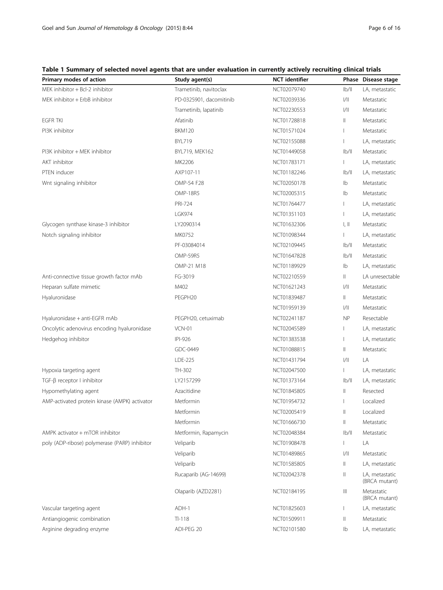# <span id="page-5-0"></span>Table 1 Summary of selected novel agents that are under evaluation in currently actively recruiting clinical trials

| Primary modes of action                       | Study agent(s)          | <b>NCT</b> identifier |              | Phase Disease stage             |
|-----------------------------------------------|-------------------------|-----------------------|--------------|---------------------------------|
| MEK inhibitor + Bcl-2 inhibitor               | Trametinib, navitoclax  | NCT02079740           | Ib/II        | LA, metastatic                  |
| MEK inhibitor + ErbB inhibitor                | PD-0325901, dacomitinib | NCT02039336           | 1/11         | Metastatic                      |
|                                               | Trametinib, lapatinib   | NCT02230553           | 1/11         | Metastatic                      |
| <b>EGFR TKI</b>                               | Afatinib                | NCT01728818           | $\parallel$  | Metastatic                      |
| PI3K inhibitor                                | <b>BKM120</b>           | NCT01571024           |              | Metastatic                      |
|                                               | <b>BYL719</b>           | NCT02155088           |              | LA, metastatic                  |
| PI3K inhibitor + MEK inhibitor                | BYL719, MEK162          | NCT01449058           | Ib/II        | Metastatic                      |
| AKT inhibitor                                 | MK2206                  | NCT01783171           |              | LA, metastatic                  |
| PTEN inducer                                  | AXP107-11               | NCT01182246           | Ib/II        | LA, metastatic                  |
| Wnt signaling inhibitor                       | OMP-54 F28              | NCT02050178           | Ib           | Metastatic                      |
|                                               | <b>OMP-18R5</b>         | NCT02005315           | Ib           | Metastatic                      |
|                                               | PRI-724                 | NCT01764477           |              | LA, metastatic                  |
|                                               | <b>LGK974</b>           | NCT01351103           | L            | LA, metastatic                  |
| Glycogen synthase kinase-3 inhibitor          | LY2090314               | NCT01632306           | I, II        | Metastatic                      |
| Notch signaling inhibitor                     | MK0752                  | NCT01098344           |              | LA, metastatic                  |
|                                               | PF-03084014             | NCT02109445           | Ib/II        | Metastatic                      |
|                                               | <b>OMP-59R5</b>         | NCT01647828           | Ib/II        | Metastatic                      |
|                                               | OMP-21 M18              | NCT01189929           | Ib           | LA, metastatic                  |
| Anti-connective tissue growth factor mAb      | FG-3019                 | NCT02210559           | $\mathbb{I}$ | LA unresectable                 |
| Heparan sulfate mimetic                       | M402                    | NCT01621243           | 1/11         | Metastatic                      |
| Hyaluronidase                                 | PEGPH20                 | NCT01839487           | $\parallel$  | Metastatic                      |
|                                               |                         | NCT01959139           | 1/11         | Metastatic                      |
| Hyaluronidase + anti-EGFR mAb                 | PEGPH20, cetuximab      | NCT02241187           | <b>NP</b>    | Resectable                      |
| Oncolytic adenovirus encoding hyaluronidase   | <b>VCN-01</b>           | NCT02045589           |              | LA, metastatic                  |
| Hedgehog inhibitor                            | IPI-926                 | NCT01383538           |              | LA, metastatic                  |
|                                               | GDC-0449                | NCT01088815           | $\parallel$  | Metastatic                      |
|                                               | LDE-225                 | NCT01431794           | 1/11         | LA                              |
| Hypoxia targeting agent                       | TH-302                  | NCT02047500           | L            | LA, metastatic                  |
| $TGF-\beta$ receptor I inhibitor              | LY2157299               | NCT01373164           | Ib/II        | LA, metastatic                  |
| Hypomethylating agent                         | Azacitidine             | NCT01845805           | 11           | Resected                        |
| AMP-activated protein kinase (AMPK) activator | Metformin               | NCT01954732           | L            | Localized                       |
|                                               | Metformin               | NCT02005419           | $\mathbb I$  | Localized                       |
|                                               | Metformin               | NCT01666730           | 11           | Metastatic                      |
| AMPK activator + mTOR inhibitor               | Metformin, Rapamycin    | NCT02048384           | Ib/II        | Metastatic                      |
| poly (ADP-ribose) polymerase (PARP) inhibitor | Veliparib               | NCT01908478           |              | LA                              |
|                                               | Veliparib               | NCT01489865           | 1/11         | Metastatic                      |
|                                               | Veliparib               | NCT01585805           | $\parallel$  | LA, metastatic                  |
|                                               | Rucaparib (AG-14699)    | NCT02042378           | $\parallel$  | LA, metastatic<br>(BRCA mutant) |
|                                               | Olaparib (AZD2281)      | NCT02184195           | Ш            | Metastatic<br>(BRCA mutant)     |
| Vascular targeting agent                      | ADH-1                   | NCT01825603           | L            | LA, metastatic                  |
| Antiangiogenic combination                    | $TI-118$                | NCT01509911           | Ш            | Metastatic                      |
| Arginine degrading enzyme                     | ADI-PEG 20              | NCT02101580           | Ib           | LA, metastatic                  |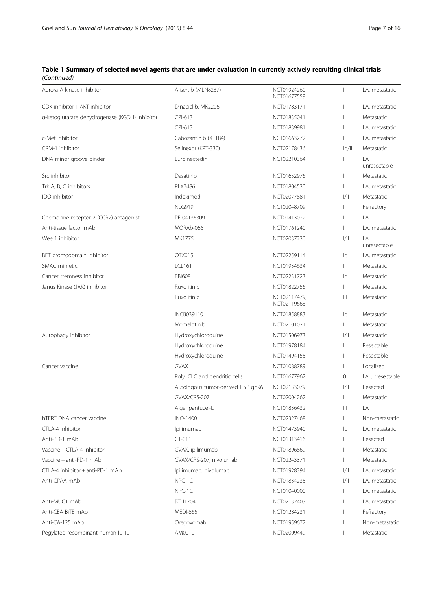# Table 1 Summary of selected novel agents that are under evaluation in currently actively recruiting clinical trials (Continued)

| Aurora A kinase inhibitor                      | Alisertib (MLN8237)               | NCT01924260,<br>NCT01677559 |             | LA, metastatic     |
|------------------------------------------------|-----------------------------------|-----------------------------|-------------|--------------------|
| CDK inhibitor + AKT inhibitor                  | Dinaciclib, MK2206                | NCT01783171                 |             | LA, metastatic     |
| a-ketoglutarate dehydrogenase (KGDH) inhibitor | CPI-613                           | NCT01835041                 |             | Metastatic         |
|                                                | CPI-613                           | NCT01839981                 |             | LA, metastatic     |
| c-Met inhibitor                                | Cabozantinib (XL184)              | NCT01663272                 |             | LA, metastatic     |
| CRM-1 inhibitor                                | Selinexor (KPT-330)               | NCT02178436                 | Ib/II       | Metastatic         |
| DNA minor groove binder                        | Lurbinectedin                     | NCT02210364                 |             | LA<br>unresectable |
| Src inhibitor                                  | Dasatinib                         | NCT01652976                 | Ш           | Metastatic         |
| Trk A, B, C inhibitors                         | PI X7486                          | NCT01804530                 | L           | LA, metastatic     |
| IDO inhibitor                                  | Indoximod                         | NCT02077881                 | 1/          | Metastatic         |
|                                                | <b>NLG919</b>                     | NCT02048709                 |             | Refractory         |
| Chemokine receptor 2 (CCR2) antagonist         | PF-04136309                       | NCT01413022                 |             | LA                 |
| Anti-tissue factor mAb                         | MORAb-066                         | NCT01761240                 |             | LA, metastatic     |
| Wee 1 inhibitor                                | MK1775                            | NCT02037230                 | 1/11        | LA<br>unresectable |
| BET bromodomain inhibitor                      | OTX015                            | NCT02259114                 | Ib          | LA, metastatic     |
| SMAC mimetic                                   | <b>LCL161</b>                     | NCT01934634                 |             | Metastatic         |
| Cancer stemness inhibitor                      | <b>BBI608</b>                     | NCT02231723                 | Ib          | Metastatic         |
| Janus Kinase (JAK) inhibitor                   | Ruxolitinib                       | NCT01822756                 |             | Metastatic         |
|                                                | Ruxolitinib                       | NCT02117479,<br>NCT02119663 | Ш           | Metastatic         |
|                                                | <b>INCB039110</b>                 | NCT01858883                 | Ib          | Metastatic         |
|                                                | Momelotinib                       | NCT02101021                 | Ш           | Metastatic         |
| Autophagy inhibitor                            | Hydroxychloroquine                | NCT01506973                 | 1/11        | Metastatic         |
|                                                | Hydroxychloroquine                | NCT01978184                 | Ш           | Resectable         |
|                                                | Hydroxychloroquine                | NCT01494155                 | Ш           | Resectable         |
| Cancer vaccine                                 | <b>GVAX</b>                       | NCT01088789                 | Ш           | Localized          |
|                                                | Poly ICLC and dendritic cells     | NCT01677962                 | 0           | LA unresectable    |
|                                                | Autologous tumor-derived HSP gp96 | NCT02133079                 | 1/11        | Resected           |
|                                                | GVAX/CRS-207                      | NCT02004262                 | Ш           | Metastatic         |
|                                                | Algenpantucel-L                   | NCT01836432                 | Ш           | LA                 |
| hTERT DNA cancer vaccine                       | INO-1400                          | NCT02327468                 |             | Non-metastatic     |
| CTLA-4 inhibitor                               | Ipilimumab                        | NCT01473940                 | Ib          | LA, metastatic     |
| Anti-PD-1 mAb                                  | $CT-011$                          | NCT01313416                 | Ш           | Resected           |
| Vaccine + CTLA-4 inhibitor                     | GVAX, ipilimumab                  | NCT01896869                 | Ш           | Metastatic         |
| Vaccine + anti-PD-1 mAb                        | GVAX/CRS-207, nivolumab           | NCT02243371                 | Ш           | Metastatic         |
| CTLA-4 inhibitor + anti-PD-1 mAb               | Ipilimumab, nivolumab             | NCT01928394                 | 1/11        | LA, metastatic     |
| Anti-CPAA mAb                                  | NPC-1C                            | NCT01834235                 | 1/11        | LA, metastatic     |
|                                                | NPC-1C                            | NCT01040000                 | $\parallel$ | LA, metastatic     |
| Anti-MUC1 mAb                                  | BTH1704                           | NCT02132403                 |             | LA, metastatic     |
| Anti-CEA BiTE mAb                              | <b>MEDI-565</b>                   | NCT01284231                 |             | Refractory         |
| Anti-CA-125 mAb                                | Oregovomab                        | NCT01959672                 | Ш           | Non-metastatic     |
| Pegylated recombinant human IL-10              | AM0010                            | NCT02009449                 |             | Metastatic         |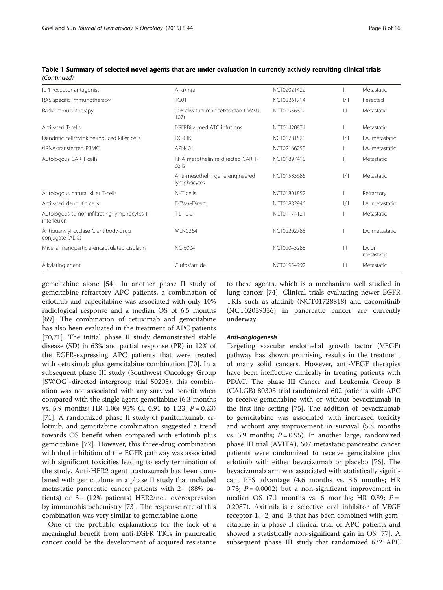| IL-1 receptor antagonist                                          | Anakinra                                       | NCT02021422 |                | Metastatic           |
|-------------------------------------------------------------------|------------------------------------------------|-------------|----------------|----------------------|
| RAS specific immunotherapy                                        | TG01                                           | NCT02261714 | 1/             | Resected             |
| Radioimmunotherapy                                                | 90Y-clivatuzumab tetraxetan (IMMU-<br>107)     | NCT01956812 | $\mathbb{H}$   | Metastatic           |
| <b>Activated T-cells</b>                                          | EGFRBi armed ATC infusions                     | NCT01420874 |                | Metastatic           |
| Dendritic cell/cytokine-induced killer cells                      | DC-CIK                                         | NCT01781520 | 1/             | LA, metastatic       |
| siRNA-transfected PBMC                                            | APN401                                         | NCT02166255 |                | LA, metastatic       |
| Autologous CAR T-cells                                            | RNA mesothelin re-directed CAR T-<br>cells     | NCT01897415 |                | Metastatic           |
|                                                                   | Anti-mesothelin gene engineered<br>lymphocytes | NCT01583686 | 1/             | Metastatic           |
| Autologous natural killer T-cells                                 | NKT cells                                      | NCT01801852 |                | Refractory           |
| Activated dendritic cells                                         | DCVax-Direct                                   | NCT01882946 | 1/             | LA, metastatic       |
| Autologous tumor infiltrating lymphocytes +<br><i>interleukin</i> | $TL, IL-2$                                     | NCT01174121 | $\parallel$    | Metastatic           |
| Antiguanylyl cyclase C antibody-drug<br>conjugate (ADC)           | <b>MLN0264</b>                                 | NCT02202785 | $\parallel$    | LA, metastatic       |
| Micellar nanoparticle-encapsulated cisplatin                      | NC-6004                                        | NCT02043288 | $\mathbf{III}$ | I A or<br>metastatic |
| Alkylating agent                                                  | Glufosfamide                                   | NCT01954992 | $\mathbb{H}$   | Metastatic           |

Table 1 Summary of selected novel agents that are under evaluation in currently actively recruiting clinical trials (Continued)

gemcitabine alone [\[54\]](#page-13-0). In another phase II study of gemcitabine-refractory APC patients, a combination of erlotinib and capecitabine was associated with only 10% radiological response and a median OS of 6.5 months [[69\]](#page-13-0). The combination of cetuximab and gemcitabine has also been evaluated in the treatment of APC patients [[70,71\]](#page-13-0). The initial phase II study demonstrated stable disease (SD) in 63% and partial response (PR) in 12% of the EGFR-expressing APC patients that were treated with cetuximab plus gemcitabine combination [\[70](#page-13-0)]. In a subsequent phase III study (Southwest Oncology Group [SWOG]-directed intergroup trial S0205), this combination was not associated with any survival benefit when compared with the single agent gemcitabine (6.3 months vs. 5.9 months; HR 1.06; 95% CI 0.91 to 1.23;  $P = 0.23$ ) [[71\]](#page-13-0). A randomized phase II study of panitumumab, erlotinib, and gemcitabine combination suggested a trend towards OS benefit when compared with erlotinib plus gemcitabine [[72\]](#page-14-0). However, this three-drug combination with dual inhibition of the EGFR pathway was associated with significant toxicities leading to early termination of the study. Anti-HER2 agent trastuzumab has been combined with gemcitabine in a phase II study that included metastatic pancreatic cancer patients with 2+ (88% patients) or 3+ (12% patients) HER2/neu overexpression by immunohistochemistry [[73\]](#page-14-0). The response rate of this combination was very similar to gemcitabine alone.

One of the probable explanations for the lack of a meaningful benefit from anti-EGFR TKIs in pancreatic cancer could be the development of acquired resistance

to these agents, which is a mechanism well studied in lung cancer [[74\]](#page-14-0). Clinical trials evaluating newer EGFR TKIs such as afatinib (NCT01728818) and dacomitinib (NCT02039336) in pancreatic cancer are currently underway.

#### Anti-angiogenesis

Targeting vascular endothelial growth factor (VEGF) pathway has shown promising results in the treatment of many solid cancers. However, anti-VEGF therapies have been ineffective clinically in treating patients with PDAC. The phase III Cancer and Leukemia Group B (CALGB) 80303 trial randomized 602 patients with APC to receive gemcitabine with or without bevacizumab in the first-line setting [\[75](#page-14-0)]. The addition of bevacizumab to gemcitabine was associated with increased toxicity and without any improvement in survival (5.8 months vs. 5.9 months;  $P = 0.95$ ). In another large, randomized phase III trial (AVITA), 607 metastatic pancreatic cancer patients were randomized to receive gemcitabine plus erlotinib with either bevacizumab or placebo [[76\]](#page-14-0). The bevacizumab arm was associated with statistically significant PFS advantage (4.6 months vs. 3.6 months; HR 0.73;  $P = 0.0002$ ) but a non-significant improvement in median OS (7.1 months vs. 6 months; HR 0.89;  $P =$ 0.2087). Axitinib is a selective oral inhibitor of VEGF receptor-1, -2, and -3 that has been combined with gemcitabine in a phase II clinical trial of APC patients and showed a statistically non-significant gain in OS [[77\]](#page-14-0). A subsequent phase III study that randomized 632 APC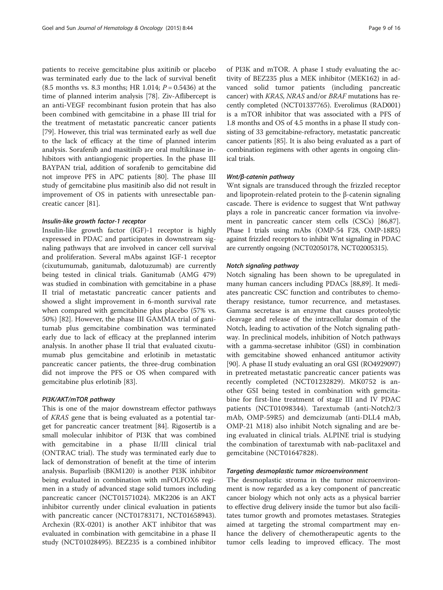patients to receive gemcitabine plus axitinib or placebo was terminated early due to the lack of survival benefit (8.5 months vs. 8.3 months; HR 1.014;  $P = 0.5436$ ) at the time of planned interim analysis [\[78](#page-14-0)]. Ziv-Aflibercept is an anti-VEGF recombinant fusion protein that has also been combined with gemcitabine in a phase III trial for the treatment of metastatic pancreatic cancer patients [[79\]](#page-14-0). However, this trial was terminated early as well due to the lack of efficacy at the time of planned interim analysis. Sorafenib and masitinib are oral multikinase inhibitors with antiangiogenic properties. In the phase III BAYPAN trial, addition of sorafenib to gemcitabine did not improve PFS in APC patients [[80](#page-14-0)]. The phase III study of gemcitabine plus masitinib also did not result in improvement of OS in patients with unresectable pancreatic cancer [\[81](#page-14-0)].

#### Insulin-like growth factor-1 receptor

Insulin-like growth factor (IGF)-1 receptor is highly expressed in PDAC and participates in downstream signaling pathways that are involved in cancer cell survival and proliferation. Several mAbs against IGF-1 receptor (cixutumumab, ganitumab, dalotuzumab) are currently being tested in clinical trials. Ganitumab (AMG 479) was studied in combination with gemcitabine in a phase II trial of metastatic pancreatic cancer patients and showed a slight improvement in 6-month survival rate when compared with gemcitabine plus placebo (57% vs. 50%) [[82\]](#page-14-0). However, the phase III GAMMA trial of ganitumab plus gemcitabine combination was terminated early due to lack of efficacy at the preplanned interim analysis. In another phase II trial that evaluated cixutumumab plus gemcitabine and erlotinib in metastatic pancreatic cancer patients, the three-drug combination did not improve the PFS or OS when compared with gemcitabine plus erlotinib [\[83](#page-14-0)].

#### PI3K/AKT/mTOR pathway

This is one of the major downstream effector pathways of KRAS gene that is being evaluated as a potential target for pancreatic cancer treatment [[84\]](#page-14-0). Rigosertib is a small molecular inhibitor of PI3K that was combined with gemcitabine in a phase II/III clinical trial (ONTRAC trial). The study was terminated early due to lack of demonstration of benefit at the time of interim analysis. Buparlisib (BKM120) is another PI3K inhibitor being evaluated in combination with mFOLFOX6 regimen in a study of advanced stage solid tumors including pancreatic cancer (NCT01571024). MK2206 is an AKT inhibitor currently under clinical evaluation in patients with pancreatic cancer (NCT01783171, NCT01658943). Archexin (RX-0201) is another AKT inhibitor that was evaluated in combination with gemcitabine in a phase II study (NCT01028495). BEZ235 is a combined inhibitor

of PI3K and mTOR. A phase I study evaluating the activity of BEZ235 plus a MEK inhibitor (MEK162) in advanced solid tumor patients (including pancreatic cancer) with KRAS, NRAS and/or BRAF mutations has recently completed (NCT01337765). Everolimus (RAD001) is a mTOR inhibitor that was associated with a PFS of 1.8 months and OS of 4.5 months in a phase II study consisting of 33 gemcitabine-refractory, metastatic pancreatic cancer patients [[85](#page-14-0)]. It is also being evaluated as a part of combination regimens with other agents in ongoing clinical trials.

#### Wnt/β-catenin pathway

Wnt signals are transduced through the frizzled receptor and lipoprotein-related protein to the β-catenin signaling cascade. There is evidence to suggest that Wnt pathway plays a role in pancreatic cancer formation via involvement in pancreatic cancer stem cells (CSCs) [\[86,87](#page-14-0)]. Phase I trials using mAbs (OMP-54 F28, OMP-18R5) against frizzled receptors to inhibit Wnt signaling in PDAC are currently ongoing (NCT02050178, NCT02005315).

#### Notch signaling pathway

Notch signaling has been shown to be upregulated in many human cancers including PDACs [\[88,89](#page-14-0)]. It mediates pancreatic CSC function and contributes to chemotherapy resistance, tumor recurrence, and metastases. Gamma secretase is an enzyme that causes proteolytic cleavage and release of the intracellular domain of the Notch, leading to activation of the Notch signaling pathway. In preclinical models, inhibition of Notch pathways with a gamma-secretase inhibitor (GSI) in combination with gemcitabine showed enhanced antitumor activity [[90](#page-14-0)]. A phase II study evaluating an oral GSI (RO4929097) in pretreated metastatic pancreatic cancer patients was recently completed (NCT01232829). MK0752 is another GSI being tested in combination with gemcitabine for first-line treatment of stage III and IV PDAC patients (NCT01098344). Tarextumab (anti-Notch2/3 mAb, OMP-59R5) and demcizumab (anti-DLL4 mAb, OMP-21 M18) also inhibit Notch signaling and are being evaluated in clinical trials. ALPINE trial is studying the combination of tarextumab with nab-paclitaxel and gemcitabine (NCT01647828).

#### Targeting desmoplastic tumor microenvironment

The desmoplastic stroma in the tumor microenvironment is now regarded as a key component of pancreatic cancer biology which not only acts as a physical barrier to effective drug delivery inside the tumor but also facilitates tumor growth and promotes metastases. Strategies aimed at targeting the stromal compartment may enhance the delivery of chemotherapeutic agents to the tumor cells leading to improved efficacy. The most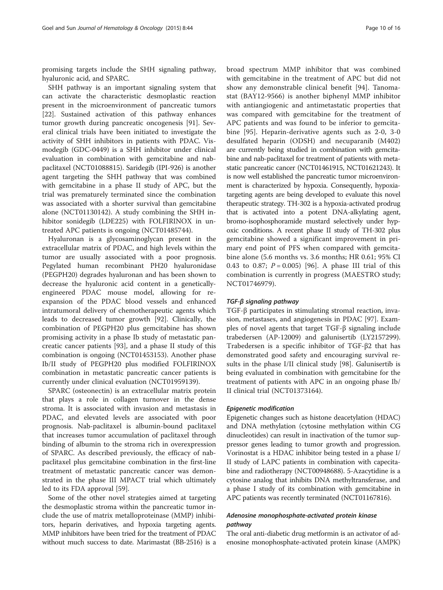promising targets include the SHH signaling pathway, hyaluronic acid, and SPARC.

SHH pathway is an important signaling system that can activate the characteristic desmoplastic reaction present in the microenvironment of pancreatic tumors [[22\]](#page-12-0). Sustained activation of this pathway enhances tumor growth during pancreatic oncogenesis [[91](#page-14-0)]. Several clinical trials have been initiated to investigate the activity of SHH inhibitors in patients with PDAC. Vismodegib (GDC-0449) is a SHH inhibitor under clinical evaluation in combination with gemcitabine and nabpaclitaxel (NCT01088815). Saridegib (IPI-926) is another agent targeting the SHH pathway that was combined with gemcitabine in a phase II study of APC, but the trial was prematurely terminated since the combination was associated with a shorter survival than gemcitabine alone (NCT01130142). A study combining the SHH inhibitor sonidegib (LDE225) with FOLFIRINOX in untreated APC patients is ongoing (NCT01485744).

Hyaluronan is a glycosaminoglycan present in the extracellular matrix of PDAC, and high levels within the tumor are usually associated with a poor prognosis. Pegylated human recombinant PH20 hyaluronidase (PEGPH20) degrades hyaluronan and has been shown to decrease the hyaluronic acid content in a geneticallyengineered PDAC mouse model, allowing for reexpansion of the PDAC blood vessels and enhanced intratumoral delivery of chemotherapeutic agents which leads to decreased tumor growth [\[92\]](#page-14-0). Clinically, the combination of PEGPH20 plus gemcitabine has shown promising activity in a phase Ib study of metastatic pancreatic cancer patients [\[93](#page-14-0)], and a phase II study of this combination is ongoing (NCT01453153). Another phase Ib/II study of PEGPH20 plus modified FOLFIRINOX combination in metastatic pancreatic cancer patients is currently under clinical evaluation (NCT01959139).

SPARC (osteonectin) is an extracellular matrix protein that plays a role in collagen turnover in the dense stroma. It is associated with invasion and metastasis in PDAC, and elevated levels are associated with poor prognosis. Nab-paclitaxel is albumin-bound paclitaxel that increases tumor accumulation of paclitaxel through binding of albumin to the stroma rich in overexpression of SPARC. As described previously, the efficacy of nabpaclitaxel plus gemcitabine combination in the first-line treatment of metastatic pancreatic cancer was demonstrated in the phase III MPACT trial which ultimately led to its FDA approval [[59\]](#page-13-0).

Some of the other novel strategies aimed at targeting the desmoplastic stroma within the pancreatic tumor include the use of matrix metalloproteinase (MMP) inhibitors, heparin derivatives, and hypoxia targeting agents. MMP inhibitors have been tried for the treatment of PDAC without much success to date. Marimastat (BB-2516) is a broad spectrum MMP inhibitor that was combined with gemcitabine in the treatment of APC but did not show any demonstrable clinical benefit [\[94](#page-14-0)]. Tanomastat (BAY12-9566) is another biphenyl MMP inhibitor with antiangiogenic and antimetastatic properties that was compared with gemcitabine for the treatment of APC patients and was found to be inferior to gemcitabine [[95\]](#page-14-0). Heparin-derivative agents such as 2-0, 3-0 desulfated heparin (ODSH) and necuparanib (M402) are currently being studied in combination with gemcitabine and nab-paclitaxel for treatment of patients with metastatic pancreatic cancer (NCT01461915, NCT01621243). It is now well established the pancreatic tumor microenvironment is characterized by hypoxia. Consequently, hypoxiatargeting agents are being developed to evaluate this novel therapeutic strategy. TH-302 is a hypoxia-activated prodrug that is activated into a potent DNA-alkylating agent, bromo-isophosphoramide mustard selectively under hypoxic conditions. A recent phase II study of TH-302 plus gemcitabine showed a significant improvement in primary end point of PFS when compared with gemcitabine alone (5.6 months vs. 3.6 months; HR 0.61; 95% CI 0.43 to 0.87;  $P = 0.005$  [\[96](#page-14-0)]. A phase III trial of this combination is currently in progress (MAESTRO study; NCT01746979).

#### TGF-β signaling pathway

TGF-β participates in stimulating stromal reaction, invasion, metastases, and angiogenesis in PDAC [[97](#page-14-0)]. Examples of novel agents that target TGF-β signaling include trabedersen (AP-12009) and galunisertib (LY2157299). Trabedersen is a specific inhibitor of TGF-β2 that has demonstrated good safety and encouraging survival results in the phase I/II clinical study [[98\]](#page-14-0). Galunisertib is being evaluated in combination with gemcitabine for the treatment of patients with APC in an ongoing phase Ib/ II clinical trial (NCT01373164).

#### Epigenetic modification

Epigenetic changes such as histone deacetylation (HDAC) and DNA methylation (cytosine methylation within CG dinucleotides) can result in inactivation of the tumor suppressor genes leading to tumor growth and progression. Vorinostat is a HDAC inhibitor being tested in a phase I/ II study of LAPC patients in combination with capecitabine and radiotherapy (NCT00948688). 5-Azacytidine is a cytosine analog that inhibits DNA methyltransferase, and a phase I study of its combination with gemcitabine in APC patients was recently terminated (NCT01167816).

# Adenosine monophosphate-activated protein kinase pathway

The oral anti-diabetic drug metformin is an activator of adenosine monophosphate-activated protein kinase (AMPK)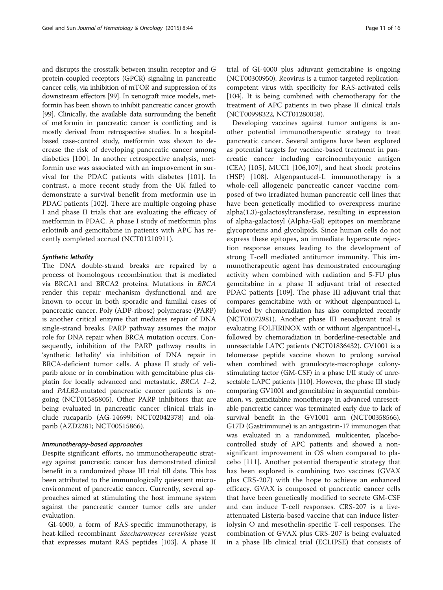and disrupts the crosstalk between insulin receptor and G protein-coupled receptors (GPCR) signaling in pancreatic cancer cells, via inhibition of mTOR and suppression of its downstream effectors [[99](#page-14-0)]. In xenograft mice models, metformin has been shown to inhibit pancreatic cancer growth [[99](#page-14-0)]. Clinically, the available data surrounding the benefit of metformin in pancreatic cancer is conflicting and is mostly derived from retrospective studies. In a hospitalbased case-control study, metformin was shown to decrease the risk of developing pancreatic cancer among diabetics [[100\]](#page-14-0). In another retrospective analysis, metformin use was associated with an improvement in survival for the PDAC patients with diabetes [[101\]](#page-14-0). In contrast, a more recent study from the UK failed to demonstrate a survival benefit from metformin use in PDAC patients [\[102](#page-14-0)]. There are multiple ongoing phase I and phase II trials that are evaluating the efficacy of metformin in PDAC. A phase I study of metformin plus erlotinib and gemcitabine in patients with APC has recently completed accrual (NCT01210911).

#### Synthetic lethality

The DNA double-strand breaks are repaired by a process of homologous recombination that is mediated via BRCA1 and BRCA2 proteins. Mutations in BRCA render this repair mechanism dysfunctional and are known to occur in both sporadic and familial cases of pancreatic cancer. Poly (ADP-ribose) polymerase (PARP) is another critical enzyme that mediates repair of DNA single-strand breaks. PARP pathway assumes the major role for DNA repair when BRCA mutation occurs. Consequently, inhibition of the PARP pathway results in 'synthetic lethality' via inhibition of DNA repair in BRCA-deficient tumor cells. A phase II study of veliparib alone or in combination with gemcitabine plus cisplatin for locally advanced and metastatic, BRCA 1–2, and PALB2-mutated pancreatic cancer patients is ongoing (NCT01585805). Other PARP inhibitors that are being evaluated in pancreatic cancer clinical trials include rucaparib (AG-14699; NCT02042378) and olaparib (AZD2281; NCT00515866).

#### Immunotherapy-based approaches

Despite significant efforts, no immunotherapeutic strategy against pancreatic cancer has demonstrated clinical benefit in a randomized phase III trial till date. This has been attributed to the immunologically quiescent microenvironment of pancreatic cancer. Currently, several approaches aimed at stimulating the host immune system against the pancreatic cancer tumor cells are under evaluation.

GI-4000, a form of RAS-specific immunotherapy, is heat-killed recombinant Saccharomyces cerevisiae yeast that expresses mutant RAS peptides [[103](#page-14-0)]. A phase II trial of GI-4000 plus adjuvant gemcitabine is ongoing (NCT00300950). Reovirus is a tumor-targeted replicationcompetent virus with specificity for RAS-activated cells [[104](#page-14-0)]. It is being combined with chemotherapy for the treatment of APC patients in two phase II clinical trials (NCT00998322, NCT01280058).

Developing vaccines against tumor antigens is another potential immunotherapeutic strategy to treat pancreatic cancer. Several antigens have been explored as potential targets for vaccine-based treatment in pancreatic cancer including carcinoembryonic antigen (CEA) [\[105\]](#page-14-0), MUC1 [\[106,107](#page-14-0)], and heat shock proteins (HSP) [[108\]](#page-14-0). Algenpantucel-L immunotherapy is a whole-cell allogeneic pancreatic cancer vaccine composed of two irradiated human pancreatic cell lines that have been genetically modified to overexpress murine alpha(1,3)-galactosyltransferase, resulting in expression of alpha-galactosyl (Alpha-Gal) epitopes on membrane glycoproteins and glycolipids. Since human cells do not express these epitopes, an immediate hyperacute rejection response ensues leading to the development of strong T-cell mediated antitumor immunity. This immunotherapeutic agent has demonstrated encouraging activity when combined with radiation and 5-FU plus gemcitabine in a phase II adjuvant trial of resected PDAC patients [\[109](#page-14-0)]. The phase III adjuvant trial that compares gemcitabine with or without algenpantucel-L, followed by chemoradiation has also completed recently (NCT01072981). Another phase III neoadjuvant trial is evaluating FOLFIRINOX with or without algenpantucel-L, followed by chemoradiation in borderline-resectable and unresectable LAPC patients (NCT01836432). GV1001 is a telomerase peptide vaccine shown to prolong survival when combined with granulocyte-macrophage colonystimulating factor (GM-CSF) in a phase I/II study of unresectable LAPC patients [[110](#page-14-0)]. However, the phase III study comparing GV1001 and gemcitabine in sequential combination, vs. gemcitabine monotherapy in advanced unresectable pancreatic cancer was terminated early due to lack of survival benefit in the GV1001 arm (NCT00358566). G17D (Gastrimmune) is an antigastrin-17 immunogen that was evaluated in a randomized, multicenter, placebocontrolled study of APC patients and showed a nonsignificant improvement in OS when compared to placebo [\[111](#page-14-0)]. Another potential therapeutic strategy that has been explored is combining two vaccines (GVAX plus CRS-207) with the hope to achieve an enhanced efficacy. GVAX is composed of pancreatic cancer cells that have been genetically modified to secrete GM-CSF and can induce T-cell responses. CRS-207 is a liveattenuated Listeria-based vaccine that can induce listeriolysin O and mesothelin-specific T-cell responses. The combination of GVAX plus CRS-207 is being evaluated in a phase IIb clinical trial (ECLIPSE) that consists of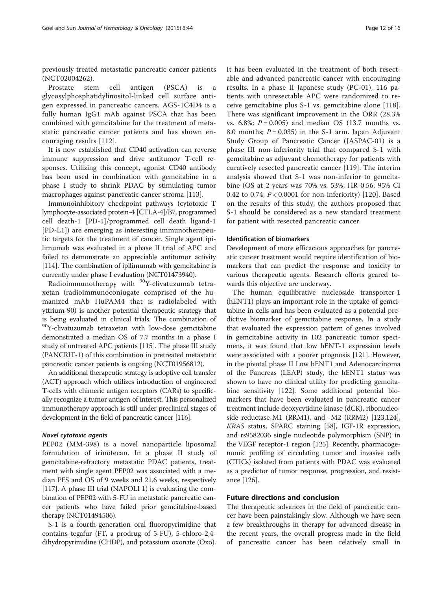previously treated metastatic pancreatic cancer patients (NCT02004262).

Prostate stem cell antigen (PSCA) is a glycosylphosphatidylinositol-linked cell surface antigen expressed in pancreatic cancers. AGS-1C4D4 is a fully human IgG1 mAb against PSCA that has been combined with gemcitabine for the treatment of metastatic pancreatic cancer patients and has shown encouraging results [[112](#page-14-0)].

It is now established that CD40 activation can reverse immune suppression and drive antitumor T-cell responses. Utilizing this concept, agonist CD40 antibody has been used in combination with gemcitabine in a phase I study to shrink PDAC by stimulating tumor macrophages against pancreatic cancer stroma [[113](#page-14-0)].

Immunoinhibitory checkpoint pathways (cytotoxic T lymphocyte-associated protein-4 [CTLA-4]/B7, programmed cell death-1 [PD-1]/programmed cell death ligand-1 [PD-L1]) are emerging as interesting immunotherapeutic targets for the treatment of cancer. Single agent ipilimumab was evaluated in a phase II trial of APC and failed to demonstrate an appreciable antitumor activity [[114](#page-14-0)]. The combination of ipilimumab with gemcitabine is currently under phase I evaluation (NCT01473940).

Radioimmunotherapy with  $90Y$ -clivatuzumab tetraxetan (radioimmunoconjugate comprised of the humanized mAb HuPAM4 that is radiolabeled with yttrium-90) is another potential therapeutic strategy that is being evaluated in clinical trials. The combination of <sup>90</sup>Y-clivatuzumab tetraxetan with low-dose gemcitabine demonstrated a median OS of 7.7 months in a phase I study of untreated APC patients [[115](#page-15-0)]. The phase III study (PANCRIT-1) of this combination in pretreated metastatic pancreatic cancer patients is ongoing (NCT01956812).

An additional therapeutic strategy is adoptive cell transfer (ACT) approach which utilizes introduction of engineered T-cells with chimeric antigen receptors (CARs) to specifically recognize a tumor antigen of interest. This personalized immunotherapy approach is still under preclinical stages of development in the field of pancreatic cancer [[116\]](#page-15-0).

#### Novel cytotoxic agents

PEP02 (MM-398) is a novel nanoparticle liposomal formulation of irinotecan. In a phase II study of gemcitabine-refractory metastatic PDAC patients, treatment with single agent PEP02 was associated with a median PFS and OS of 9 weeks and 21.6 weeks, respectively [[117](#page-15-0)]. A phase III trial (NAPOLI 1) is evaluating the combination of PEP02 with 5-FU in metastatic pancreatic cancer patients who have failed prior gemcitabine-based therapy (NCT01494506).

S-1 is a fourth-generation oral fluoropyrimidine that contains tegafur (FT, a prodrug of 5-FU), 5-chloro-2,4 dihydropyrimidine (CHDP), and potassium oxonate (Oxo). It has been evaluated in the treatment of both resectable and advanced pancreatic cancer with encouraging results. In a phase II Japanese study (PC-01), 116 patients with unresectable APC were randomized to receive gemcitabine plus S-1 vs. gemcitabine alone [\[118](#page-15-0)]. There was significant improvement in the ORR (28.3% vs. 6.8%;  $P = 0.005$ ) and median OS (13.7 months vs. 8.0 months;  $P = 0.035$ ) in the S-1 arm. Japan Adjuvant Study Group of Pancreatic Cancer (JASPAC-01) is a phase III non-inferiority trial that compared S-1 with gemcitabine as adjuvant chemotherapy for patients with curatively resected pancreatic cancer [[119\]](#page-15-0). The interim analysis showed that S-1 was non-inferior to gemcitabine (OS at 2 years was 70% vs. 53%; HR 0.56; 95% CI 0.42 to 0.74;  $P < 0.0001$  for non-inferiority) [[120\]](#page-15-0). Based on the results of this study, the authors proposed that S-1 should be considered as a new standard treatment for patient with resected pancreatic cancer.

#### Identification of biomarkers

Development of more efficacious approaches for pancreatic cancer treatment would require identification of biomarkers that can predict the response and toxicity to various therapeutic agents. Research efforts geared towards this objective are underway.

The human equilibrative nucleoside transporter-1 (hENT1) plays an important role in the uptake of gemcitabine in cells and has been evaluated as a potential predictive biomarker of gemcitabine response. In a study that evaluated the expression pattern of genes involved in gemcitabine activity in 102 pancreatic tumor specimens, it was found that low hENT-1 expression levels were associated with a poorer prognosis [\[121\]](#page-15-0). However, in the pivotal phase II Low hENT1 and Adenocarcinoma of the Pancreas (LEAP) study, the hENT1 status was shown to have no clinical utility for predicting gemcitabine sensitivity [\[122\]](#page-15-0). Some additional potential biomarkers that have been evaluated in pancreatic cancer treatment include deoxycytidine kinase (dCK), ribonucleoside reductase-M1 (RRM1), and -M2 (RRM2) [\[123,124](#page-15-0)], KRAS status, SPARC staining [\[58\]](#page-13-0), IGF-1R expression, and rs9582036 single nucleotide polymorphism (SNP) in the VEGF receptor-1 region [[125](#page-15-0)]. Recently, pharmacogenomic profiling of circulating tumor and invasive cells (CTICs) isolated from patients with PDAC was evaluated as a predictor of tumor response, progression, and resistance [[126](#page-15-0)].

#### Future directions and conclusion

The therapeutic advances in the field of pancreatic cancer have been painstakingly slow. Although we have seen a few breakthroughs in therapy for advanced disease in the recent years, the overall progress made in the field of pancreatic cancer has been relatively small in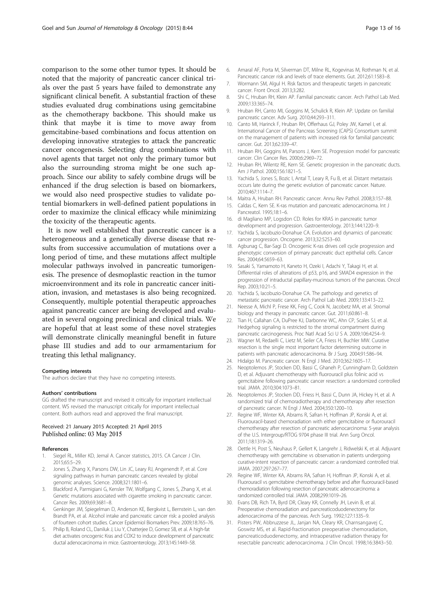<span id="page-12-0"></span>comparison to the some other tumor types. It should be noted that the majority of pancreatic cancer clinical trials over the past 5 years have failed to demonstrate any significant clinical benefit. A substantial fraction of these studies evaluated drug combinations using gemcitabine as the chemotherapy backbone. This should make us think that maybe it is time to move away from gemcitabine-based combinations and focus attention on developing innovative strategies to attack the pancreatic cancer oncogenesis. Selecting drug combinations with novel agents that target not only the primary tumor but also the surrounding stroma might be one such approach. Since our ability to safely combine drugs will be enhanced if the drug selection is based on biomarkers, we would also need prospective studies to validate potential biomarkers in well-defined patient populations in order to maximize the clinical efficacy while minimizing the toxicity of the therapeutic agents.

It is now well established that pancreatic cancer is a heterogeneous and a genetically diverse disease that results from successive accumulation of mutations over a long period of time, and these mutations affect multiple molecular pathways involved in pancreatic tumorigenesis. The presence of desmoplastic reaction in the tumor microenvironment and its role in pancreatic cancer initiation, invasion, and metastases is also being recognized. Consequently, multiple potential therapeutic approaches against pancreatic cancer are being developed and evaluated in several ongoing preclinical and clinical trials. We are hopeful that at least some of these novel strategies will demonstrate clinically meaningful benefit in future phase III studies and add to our armamentarium for treating this lethal malignancy.

#### Competing interests

The authors declare that they have no competing interests.

#### Authors' contributions

GG drafted the manuscript and revised it critically for important intellectual content. WS revised the manuscript critically for important intellectual content. Both authors read and approved the final manuscript.

#### Received: 21 January 2015 Accepted: 21 April 2015 Published online: 03 May 2015

#### References

- 1. Siegel RL, Miller KD, Jemal A. Cancer statistics, 2015. CA Cancer J Clin. 2015;65:5–29.
- 2. Jones S, Zhang X, Parsons DW, Lin JC, Leary RJ, Angenendt P, et al. Core signaling pathways in human pancreatic cancers revealed by global genomic analyses. Science. 2008;321:1801–6.
- 3. Blackford A, Parmigiani G, Kensler TW, Wolfgang C, Jones S, Zhang X, et al. Genetic mutations associated with cigarette smoking in pancreatic cancer. Cancer Res. 2009;69:3681–8.
- 4. Genkinger JM, Spiegelman D, Anderson KE, Bergkvist L, Bernstein L, van den Brandt PA, et al. Alcohol intake and pancreatic cancer risk: a pooled analysis of fourteen cohort studies. Cancer Epidemiol Biomarkers Prev. 2009;18:765–76.
- 5. Philip B, Roland CL, Daniluk J, Liu Y, Chatterjee D, Gomez SB, et al. A high-fat diet activates oncogenic Kras and COX2 to induce development of pancreatic ductal adenocarcinoma in mice. Gastroenterology. 2013;145:1449–58.
- 6. Amaral AF, Porta M, Silverman DT, Milne RL, Kogevinas M, Rothman N, et al. Pancreatic cancer risk and levels of trace elements. Gut. 2012;61:1583–8.
- 7. Wormann SM, Algul H. Risk factors and therapeutic targets in pancreatic cancer. Front Oncol. 2013;3:282.
- 8. Shi C, Hruban RH, Klein AP. Familial pancreatic cancer. Arch Pathol Lab Med. 2009;133:365–74.
- 9. Hruban RH, Canto MI, Goggins M, Schulick R, Klein AP. Update on familial pancreatic cancer. Adv Surg. 2010;44:293–311.
- 10. Canto MI, Harinck F, Hruban RH, Offerhaus GJ, Poley JW, Kamel I, et al. International Cancer of the Pancreas Screening (CAPS) Consortium summit on the management of patients with increased risk for familial pancreatic cancer. Gut. 2013;62:339–47.
- 11. Hruban RH, Goggins M, Parsons J, Kern SE. Progression model for pancreatic cancer. Clin Cancer Res. 2000;6:2969–72.
- 12. Hruban RH, Wilentz RE, Kern SE. Genetic progression in the pancreatic ducts. Am J Pathol. 2000;156:1821–5.
- 13. Yachida S, Jones S, Bozic I, Antal T, Leary R, Fu B, et al. Distant metastasis occurs late during the genetic evolution of pancreatic cancer. Nature. 2010;467:1114–7.
- 14. Maitra A, Hruban RH. Pancreatic cancer. Annu Rev Pathol. 2008;3:157–88.
- 15. Caldas C, Kern SE. K-ras mutation and pancreatic adenocarcinoma. Int J Pancreatol. 1995;18:1–6.
- 16. di Magliano MP, Logsdon CD. Roles for KRAS in pancreatic tumor development and progression. Gastroenterology. 2013;144:1220–9.
- 17. Yachida S, Iacobuzio-Donahue CA. Evolution and dynamics of pancreatic cancer progression. Oncogene. 2013;32:5253–60.
- 18. Agbunag C, Bar-Sagi D. Oncogenic K-ras drives cell cycle progression and phenotypic conversion of primary pancreatic duct epithelial cells. Cancer Res. 2004;64:5659–63.
- 19. Sasaki S, Yamamoto H, Kaneto H, Ozeki I, Adachi Y, Takagi H, et al. Differential roles of alterations of p53, p16, and SMAD4 expression in the progression of intraductal papillary-mucinous tumors of the pancreas. Oncol Rep. 2003;10:21–5.
- 20. Yachida S, Iacobuzio-Donahue CA. The pathology and genetics of metastatic pancreatic cancer. Arch Pathol Lab Med. 2009;133:413–22.
- 21. Neesse A, Michl P, Frese KK, Feig C, Cook N, Jacobetz MA, et al. Stromal biology and therapy in pancreatic cancer. Gut. 2011;60:861–8.
- 22. Tian H, Callahan CA, DuPree KJ, Darbonne WC, Ahn CP, Scales SJ, et al. Hedgehog signaling is restricted to the stromal compartment during pancreatic carcinogenesis. Proc Natl Acad Sci U S A. 2009;106:4254–9.
- 23. Wagner M, Redaelli C, Lietz M, Seiler CA, Friess H, Buchler MW, Curative resection is the single most important factor determining outcome in patients with pancreatic adenocarcinoma. Br J Surg. 2004;91:586–94.
- 24. Hidalgo M. Pancreatic cancer. N Engl J Med. 2010;362:1605–17.
- 25. Neoptolemos JP, Stocken DD, Bassi C, Ghaneh P, Cunningham D, Goldstein D, et al. Adjuvant chemotherapy with fluorouracil plus folinic acid vs gemcitabine following pancreatic cancer resection: a randomized controlled trial. JAMA. 2010;304:1073–81.
- 26. Neoptolemos JP, Stocken DD, Friess H, Bassi C, Dunn JA, Hickey H, et al. A randomized trial of chemoradiotherapy and chemotherapy after resection of pancreatic cancer. N Engl J Med. 2004;350:1200–10.
- 27. Regine WF, Winter KA, Abrams R, Safran H, Hoffman JP, Konski A, et al. Fluorouracil-based chemoradiation with either gemcitabine or fluorouracil chemotherapy after resection of pancreatic adenocarcinoma: 5-year analysis of the U.S. Intergroup/RTOG 9704 phase III trial. Ann Surg Oncol. 2011;18:1319–26.
- 28. Oettle H, Post S, Neuhaus P, Gellert K, Langrehr J, Ridwelski K, et al. Adjuvant chemotherapy with gemcitabine vs observation in patients undergoing curative-intent resection of pancreatic cancer: a randomized controlled trial. JAMA. 2007;297:267–77.
- 29. Regine WF, Winter KA, Abrams RA, Safran H, Hoffman JP, Konski A, et al. Fluorouracil vs gemcitabine chemotherapy before and after fluorouracil-based chemoradiation following resection of pancreatic adenocarcinoma: a randomized controlled trial. JAMA. 2008;299:1019–26.
- 30. Evans DB, Rich TA, Byrd DR, Cleary KR, Connelly JH, Levin B, et al. Preoperative chemoradiation and pancreaticoduodenectomy for adenocarcinoma of the pancreas. Arch Surg. 1992;127:1335–9.
- 31. Pisters PW, Abbruzzese JL, Janjan NA, Cleary KR, Charnsangavej C, Goswitz MS, et al. Rapid-fractionation preoperative chemoradiation, pancreaticoduodenectomy, and intraoperative radiation therapy for resectable pancreatic adenocarcinoma. J Clin Oncol. 1998;16:3843–50.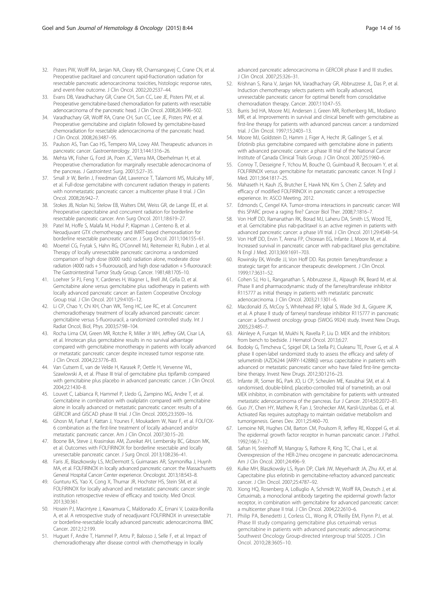- <span id="page-13-0"></span>32. Pisters PW, Wolff RA, Janjan NA, Cleary KR, Charnsangavej C, Crane CN, et al. Preoperative paclitaxel and concurrent rapid-fractionation radiation for resectable pancreatic adenocarcinoma: toxicities, histologic response rates, and event-free outcome. J Clin Oncol. 2002;20:2537–44.
- 33. Evans DB, Varadhachary GR, Crane CH, Sun CC, Lee JE, Pisters PW, et al. Preoperative gemcitabine-based chemoradiation for patients with resectable adenocarcinoma of the pancreatic head. J Clin Oncol. 2008;26:3496–502.
- 34. Varadhachary GR, Wolff RA, Crane CH, Sun CC, Lee JE, Pisters PW, et al. Preoperative gemcitabine and cisplatin followed by gemcitabine-based chemoradiation for resectable adenocarcinoma of the pancreatic head. J Clin Oncol. 2008;26:3487–95.
- 35. Paulson AS, Tran Cao HS, Tempero MA, Lowy AM. Therapeutic advances in pancreatic cancer. Gastroenterology. 2013;144:1316–26.
- 36. Mehta VK, Fisher G, Ford JA, Poen JC, Vierra MA, Oberhelman H, et al. Preoperative chemoradiation for marginally resectable adenocarcinoma of the pancreas. J Gastrointest Surg. 2001;5:27–35.
- 37. Small Jr W, Berlin J, Freedman GM, Lawrence T, Talamonti MS, Mulcahy MF, et al. Full-dose gemcitabine with concurrent radiation therapy in patients with nonmetastatic pancreatic cancer: a multicenter phase II trial. J Clin Oncol. 2008;26:942–7.
- 38. Stokes JB, Nolan NJ, Stelow EB, Walters DM, Weiss GR, de Lange EE, et al. Preoperative capecitabine and concurrent radiation for borderline resectable pancreatic cancer. Ann Surg Oncol. 2011;18:619–27.
- 39. Patel M, Hoffe S, Malafa M, Hodul P, Klapman J, Centeno B, et al. Neoadjuvant GTX chemotherapy and IMRT-based chemoradiation for borderline resectable pancreatic cancer. J Surg Oncol. 2011;104:155–61.
- 40. Moertel CG, Frytak S, Hahn RG, O'Connell MJ, Reitemeier RJ, Rubin J, et al. Therapy of locally unresectable pancreatic carcinoma: a randomized comparison of high dose (6000 rads) radiation alone, moderate dose radiation (4000 rads + 5-fluorouracil), and high dose radiation + 5-fluorouracil: The Gastrointestinal Tumor Study Group. Cancer. 1981;48:1705–10.
- 41. Loehrer Sr PJ, Feng Y, Cardenes H, Wagner L, Brell JM, Cella D, et al. Gemcitabine alone versus gemcitabine plus radiotherapy in patients with locally advanced pancreatic cancer: an Eastern Cooperative Oncology Group trial. J Clin Oncol. 2011;29:4105–12.
- 42. Li CP, Chao Y, Chi KH, Chan WK, Teng HC, Lee RC, et al. Concurrent chemoradiotherapy treatment of locally advanced pancreatic cancer: gemcitabine versus 5-fluorouracil, a randomized controlled study. Int J Radiat Oncol, Biol, Phys. 2003;57:98–104.
- 43. Rocha Lima CM, Green MR, Rotche R, Miller Jr WH, Jeffrey GM, Cisar LA, et al. Irinotecan plus gemcitabine results in no survival advantage compared with gemcitabine monotherapy in patients with locally advanced or metastatic pancreatic cancer despite increased tumor response rate. J Clin Oncol. 2004;22:3776–83.
- 44. Van Cutsem E, van de Velde H, Karasek P, Oettle H, Vervenne WL, Szawlowski A, et al. Phase III trial of gemcitabine plus tipifarnib compared with gemcitabine plus placebo in advanced pancreatic cancer. J Clin Oncol. 2004;22:1430–8.
- 45. Louvet C, Labianca R, Hammel P, Lledo G, Zampino MG, Andre T, et al. Gemcitabine in combination with oxaliplatin compared with gemcitabine alone in locally advanced or metastatic pancreatic cancer: results of a GERCOR and GISCAD phase III trial. J Clin Oncol. 2005;23:3509–16.
- 46. Ghosn M, Farhat F, Kattan J, Younes F, Moukadem W, Nasr F, et al. FOLFOX-6 combination as the first-line treatment of locally advanced and/or metastatic pancreatic cancer. Am J Clin Oncol. 2007;30:15–20.
- 47. Boone BA, Steve J, Krasinskas AM, Zureikat AH, Lembersky BC, Gibson MK, et al. Outcomes with FOLFIRINOX for borderline resectable and locally unresectable pancreatic cancer. J Surg Oncol. 2013;108:236–41.
- 48. Faris JE, Blaszkowsky LS, McDermott S, Guimaraes AR, Szymonifka J, Huynh MA, et al. FOLFIRINOX in locally advanced pancreatic cancer: the Massachusetts General Hospital Cancer Center experience. Oncologist. 2013;18:543–8.
- 49. Gunturu KS, Yao X, Cong X, Thumar JR, Hochster HS, Stein SM, et al. FOLFIRINOX for locally advanced and metastatic pancreatic cancer: single institution retrospective review of efficacy and toxicity. Med Oncol. 2013;30:361.
- 50. Hosein PJ, Macintyre J, Kawamura C, Maldonado JC, Ernani V, Loaiza-Bonilla A, et al. A retrospective study of neoadjuvant FOLFIRINOX in unresectable or borderline-resectable locally advanced pancreatic adenocarcinoma. BMC Cancer. 2012;12:199.
- 51. Huguet F, Andre T, Hammel P, Artru P, Balosso J, Selle F, et al. Impact of chemoradiotherapy after disease control with chemotherapy in locally

advanced pancreatic adenocarcinoma in GERCOR phase II and III studies. J Clin Oncol. 2007;25:326–31.

- 52. Krishnan S, Rana V, Janjan NA, Varadhachary GR, Abbruzzese JL, Das P, et al. Induction chemotherapy selects patients with locally advanced, unresectable pancreatic cancer for optimal benefit from consolidative chemoradiation therapy. Cancer. 2007;110:47–55.
- 53. Burris 3rd HA, Moore MJ, Andersen J, Green MR, Rothenberg ML, Modiano MR, et al. Improvements in survival and clinical benefit with gemcitabine as first-line therapy for patients with advanced pancreas cancer: a randomized trial. J Clin Oncol. 1997;15:2403–13.
- Moore MJ, Goldstein D, Hamm J, Figer A, Hecht JR, Gallinger S, et al. Erlotinib plus gemcitabine compared with gemcitabine alone in patients with advanced pancreatic cancer: a phase III trial of the National Cancer Institute of Canada Clinical Trials Group. J Clin Oncol. 2007;25:1960–6.
- 55. Conroy T, Desseigne F, Ychou M, Bouche O, Guimbaud R, Becouarn Y, et al. FOLFIRINOX versus gemcitabine for metastatic pancreatic cancer. N Engl J Med. 2011;364:1817–25.
- 56. Mahaseth H, Kauh JS, Brutcher E, Hawk NN, Kim S, Chen Z. Safety and efficacy of modified FOLFIRINOX in pancreatic cancer: a retrospective experience. In: ASCO Meeting. 2012.
- 57. Edmonds C, Cengel KA. Tumor-stroma interactions in pancreatic cancer: Will this SPARC prove a raging fire? Cancer Biol Ther. 2008;7:1816–7.
- 58. Von Hoff DD, Ramanathan RK, Borad MJ, Laheru DA, Smith LS, Wood TE, et al. Gemcitabine plus nab-paclitaxel is an active regimen in patients with advanced pancreatic cancer: a phase I/II trial. J Clin Oncol. 2011;29:4548–54.
- 59. Von Hoff DD, Ervin T, Arena FP, Chiorean EG, Infante J, Moore M, et al. Increased survival in pancreatic cancer with nab-paclitaxel plus gemcitabine. N Engl J Med. 2013;369:1691–703.
- 60. Rowinsky EK, Windle JJ, Von Hoff DD. Ras protein farnesyltransferase: a strategic target for anticancer therapeutic development. J Clin Oncol. 1999;17:3631–52.
- 61. Cohen SJ, Ho L, Ranganathan S, Abbruzzese JL, Alpaugh RK, Beard M, et al. Phase II and pharmacodynamic study of the farnesyltransferase inhibitor R115777 as initial therapy in patients with metastatic pancreatic adenocarcinoma. J Clin Oncol. 2003;21:1301–6.
- 62. Macdonald JS, McCoy S, Whitehead RP, Iqbal S, Wade 3rd JL, Giguere JK, et al. A phase II study of farnesyl transferase inhibitor R115777 in pancreatic cancer: a Southwest oncology group (SWOG 9924) study. Invest New Drugs. 2005;23:485–7.
- 63. Akinleye A, Furqan M, Mukhi N, Ravella P, Liu D. MEK and the inhibitors: from bench to bedside. J Hematol Oncol. 2013;6:27.
- 64. Bodoky G, Timcheva C, Spigel DR, La Stella PJ, Ciuleanu TE, Pover G, et al. A phase II open-label randomized study to assess the efficacy and safety of selumetinib (AZD6244 [ARRY-142886]) versus capecitabine in patients with advanced or metastatic pancreatic cancer who have failed first-line gemcitabine therapy. Invest New Drugs. 2012;30:1216–23.
- 65. Infante JR, Somer BG, Park JO, Li CP, Scheulen ME, Kasubhai SM, et al. A randomised, double-blind, placebo-controlled trial of trametinib, an oral MEK inhibitor, in combination with gemcitabine for patients with untreated metastatic adenocarcinoma of the pancreas. Eur J Cancer. 2014;50:2072–81.
- 66. Guo JY, Chen HY, Mathew R, Fan J, Strohecker AM, Karsli-Uzunbas G, et al. Activated Ras requires autophagy to maintain oxidative metabolism and tumorigenesis. Genes Dev. 2011;25:460–70.
- 67. Lemoine NR, Hughes CM, Barton CM, Poulsom R, Jeffery RE, Kloppel G, et al. The epidermal growth factor receptor in human pancreatic cancer. J Pathol. 1992;166:7–12.
- 68. Safran H, Steinhoff M, Mangray S, Rathore R, King TC, Chai L, et al. Overexpression of the HER-2/neu oncogene in pancreatic adenocarcinoma. Am J Clin Oncol. 2001;24:496–9.
- 69. Kulke MH, Blaszkowsky LS, Ryan DP, Clark JW, Meyerhardt JA, Zhu AX, et al. Capecitabine plus erlotinib in gemcitabine-refractory advanced pancreatic cancer. J Clin Oncol. 2007;25:4787–92.
- 70. Xiong HQ, Rosenberg A, LoBuglio A, Schmidt W, Wolff RA, Deutsch J, et al. Cetuximab, a monoclonal antibody targeting the epidermal growth factor receptor, in combination with gemcitabine for advanced pancreatic cancer: a multicenter phase II trial. J Clin Oncol. 2004;22:2610–6.
- 71. Philip PA, Benedetti J, Corless CL, Wong R, O'Reilly EM, Flynn PJ, et al. Phase III study comparing gemcitabine plus cetuximab versus gemcitabine in patients with advanced pancreatic adenocarcinoma: Southwest Oncology Group-directed intergroup trial S0205. J Clin Oncol. 2010;28:3605–10.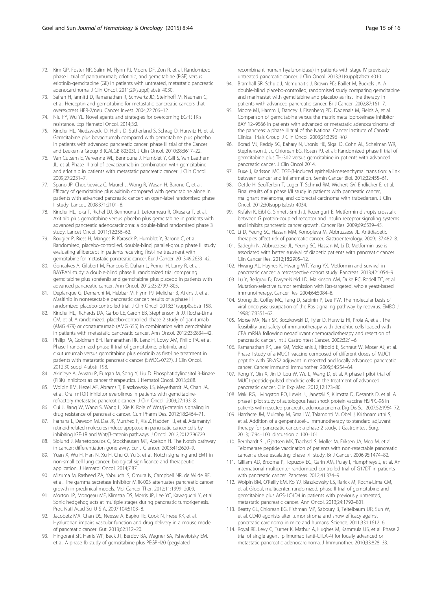- <span id="page-14-0"></span>72. Kim GP, Foster NR, Salim M, Flynn PJ, Moore DF, Zon R, et al. Randomized phase II trial of panitumumab, erlotinib, and gemcitabine (PGE) versus erlotinib-gemcitabine (GE) in patients with untreated, metastatic pancreatic adenocarcinoma. J Clin Oncol. 2011;29(suppl):abstr 4030.
- 73. Safran H, Iannitti D, Ramanathan R, Schwartz JD, Steinhoff M, Nauman C, et al. Herceptin and gemcitabine for metastatic pancreatic cancers that overexpress HER-2/neu. Cancer Invest. 2004;22:706–12.
- 74. Niu FY, Wu YL. Novel agents and strategies for overcoming EGFR TKIs resistance. Exp Hematol Oncol. 2014;3:2.
- 75. Kindler HL, Niedzwiecki D, Hollis D, Sutherland S, Schrag D, Hurwitz H, et al. Gemcitabine plus bevacizumab compared with gemcitabine plus placebo in patients with advanced pancreatic cancer: phase III trial of the Cancer and Leukemia Group B (CALGB 80303). J Clin Oncol. 2010;28:3617–22.
- 76. Van Cutsem E, Vervenne WL, Bennouna J, Humblet Y, Gill S, Van Laethem JL, et al. Phase III trial of bevacizumab in combination with gemcitabine and erlotinib in patients with metastatic pancreatic cancer. J Clin Oncol. 2009;27:2231–7.
- 77. Spano JP, Chodkiewicz C, Maurel J, Wong R, Wasan H, Barone C, et al. Efficacy of gemcitabine plus axitinib compared with gemcitabine alone in patients with advanced pancreatic cancer: an open-label randomised phase II study. Lancet. 2008;371:2101–8.
- 78. Kindler HL, Ioka T, Richel DJ, Bennouna J, Letourneau R, Okusaka T, et al. Axitinib plus gemcitabine versus placebo plus gemcitabine in patients with advanced pancreatic adenocarcinoma: a double-blind randomised phase 3 study. Lancet Oncol. 2011;12:256–62.
- 79. Rougier P, Riess H, Manges R, Karasek P, Humblet Y, Barone C, et al. Randomised, placebo-controlled, double-blind, parallel-group phase III study evaluating aflibercept in patients receiving first-line treatment with gemcitabine for metastatic pancreatic cancer. Eur J Cancer. 2013;49:2633–42.
- 80. Goncalves A, Gilabert M, Francois E, Dahan L, Perrier H, Lamy R, et al. BAYPAN study: a double-blind phase III randomized trial comparing gemcitabine plus sorafenib and gemcitabine plus placebo in patients with advanced pancreatic cancer. Ann Oncol. 2012;23:2799–805.
- 81. Deplanque G, Demarchi M, Hebbar M, Flynn PJ, Melichar B, Atkins J, et al. Masitinib in nonresectable pancreatic cancer: results of a phase III randomized placebo-controlled trial. J Clin Oncol. 2013;31(suppl):abstr 158.
- 82. Kindler HL, Richards DA, Garbo LE, Garon EB, Stephenson Jr JJ, Rocha-Lima CM, et al. A randomized, placebo-controlled phase 2 study of ganitumab (AMG 479) or conatumumab (AMG 655) in combination with gemcitabine in patients with metastatic pancreatic cancer. Ann Oncol. 2012;23:2834–42.
- 83. Philip PA, Goldman BH, Ramanathan RK, Lenz H, Lowy AM, Philip PA, et al. Phase I randomized phase II trial of gemcitabine, erlotinib, and cixutumumab versus gemcitabine plus erlotinib as first-line treatment in patients with metastatic pancreatic cancer (SWOG-0727). J Clin Oncol. 2012;30 suppl 4:abstr 198.
- 84. Akinleye A, Avvaru P, Furqan M, Song Y, Liu D. Phosphatidylinositol 3-kinase (PI3K) inhibitors as cancer therapeutics. J Hematol Oncol. 2013;6:88.
- 85. Wolpin BM, Hezel AF, Abrams T, Blaszkowsky LS, Meyerhardt JA, Chan JA, et al. Oral mTOR inhibitor everolimus in patients with gemcitabinerefractory metastatic pancreatic cancer. J Clin Oncol. 2009;27:193–8.
- 86. Cui J, Jiang W, Wang S, Wang L, Xie K. Role of Wnt/β-catenin signaling in drug resistance of pancreatic cancer. Curr Pharm Des. 2012;18:2464–71.
- 87. Farhana L, Dawson MI, Das JK, Murshed F, Xia Z, Hadden TJ, et al. Adamantyl retinoid-related molecules induce apoptosis in pancreatic cancer cells by inhibiting IGF-1R and Wnt/β-catenin pathways. J Oncol. 2012;2012:796729.
- 88. Sjolund J, Manetopoulos C, Stockhausen MT, Axelson H. The Notch pathway in cancer: differentiation gone awry. Eur J C ancer. 2005;41:2620–9.
- 89. Yuan X, Wu H, Han N, Xu H, Chu Q, Yu S, et al. Notch signaling and EMT in non-small cell lung cancer: biological significance and therapeutic application. J Hematol Oncol. 2014;7:87.
- 90. Mizuma M, Rasheed ZA, Yabuuchi S, Omura N, Campbell NR, de Wilde RF, et al. The gamma secretase inhibitor MRK-003 attenuates pancreatic cancer growth in preclinical models. Mol Cancer Ther. 2012;11:1999–2009.
- 91. Morton JP, Mongeau ME, Klimstra DS, Morris JP, Lee YC, Kawaguchi Y, et al. Sonic hedgehog acts at multiple stages during pancreatic tumorigenesis. Proc Natl Acad Sci U S A. 2007;104:5103–8.
- 92. Jacobetz MA, Chan DS, Neesse A, Bapiro TE, Cook N, Frese KK, et al. Hyaluronan impairs vascular function and drug delivery in a mouse model of pancreatic cancer. Gut. 2013;62:112–20.
- 93. Hingorani SR, Harris WP, Beck JT, Berdov BA, Wagner SA, Pshevlotsky EM, et al. A phase Ib study of gemcitabine plus PEGPH20 (pegylated

recombinant human hyaluronidase) in patients with stage IV previously untreated pancreatic cancer. J Clin Oncol. 2013;31(suppl):abstr 4010.

- 94. Bramhall SR, Schulz J, Nemunaitis J, Brown PD, Baillet M, Buckels JA. A double-blind placebo-controlled, randomised study comparing gemcitabine and marimastat with gemcitabine and placebo as first line therapy in patients with advanced pancreatic cancer. Br J Cancer. 2002;87:161–7.
- 95. Moore MJ, Hamm J, Dancey J, Eisenberg PD, Dagenais M, Fields A, et al. Comparison of gemcitabine versus the matrix metalloproteinase inhibitor BAY 12–9566 in patients with advanced or metastatic adenocarcinoma of the pancreas: a phase III trial of the National Cancer Institute of Canada Clinical Trials Group. J Clin Oncol. 2003;21:3296–302.
- 96. Borad MJ, Reddy SG, Bahary N, Uronis HE, Sigal D, Cohn AL, Schelman WR, Stephenson J, Jr., Chiorean EG, Rosen PJ, et al.: Randomized phase II trial of gemcitabine plus TH-302 versus gemcitabine in patients with advanced pancreatic cancer. J Clin Oncol 2014.
- 97. Fuxe J, Karlsson MC. TGF-β-induced epithelial-mesenchymal transition: a link between cancer and inflammation. Semin Cancer Biol. 2012;22:455–61.
- Oettle H, Seufferlein T, Luger T, Schmid RM, Wichert GV, Endlicher E, et al. Final results of a phase I/II study in patients with pancreatic cancer, malignant melanoma, and colorectal carcinoma with trabedersen. J Clin Oncol. 2012;30(suppl):abstr 4034.
- 99. Kisfalvi K, Eibl G, Sinnett-Smith J, Rozengurt E. Metformin disrupts crosstalk between G protein-coupled receptor and insulin receptor signaling systems and inhibits pancreatic cancer growth. Cancer Res. 2009;69:6539–45.
- 100. Li D, Yeung SC, Hassan MM, Konopleva M, Abbruzzese JL. Antidiabetic therapies affect risk of pancreatic cancer. Gastroenterology. 2009;137:482–8.
- 101. Sadeghi N, Abbruzzese JL, Yeung SC, Hassan M, Li D. Metformin use is associated with better survival of diabetic patients with pancreatic cancer. Clin Cancer Res. 2012;18:2905–12.
- 102. Hwang AL, Haynes K, Hwang WT, Yang YX. Metformin and survival in pancreatic cancer: a retrospective cohort study. Pancreas. 2013;42:1054–9.
- 103. Lu Y, Bellgrau D, Dwyer-Nield LD, Malkinson AM, Duke RC, Rodell TC, et al. Mutation-selective tumor remission with Ras-targeted, whole yeast-based immunotherapy. Cancer Res. 2004;64:5084–8.
- 104. Strong JE, Coffey MC, Tang D, Sabinin P, Lee PW. The molecular basis of viral oncolysis: usurpation of the Ras signaling pathway by reovirus. EMBO J. 1998;17:3351–62.
- 105. Morse MA, Nair SK, Boczkowski D, Tyler D, Hurwitz HI, Proia A, et al. The feasibility and safety of immunotherapy with dendritic cells loaded with CEA mRNA following neoadjuvant chemoradiotherapy and resection of pancreatic cancer. Int J Gastrointest Cancer. 2002;32:1–6.
- 106. Ramanathan RK, Lee KM, McKolanis J, Hitbold E, Schraut W, Moser AJ, et al. Phase I study of a MUC1 vaccine composed of different doses of MUC1 peptide with SB-AS2 adjuvant in resected and locally advanced pancreatic cancer. Cancer Immunol Immunother. 2005;54:254–64.
- 107. Rong Y, Qin X, Jin D, Lou W, Wu L, Wang D, et al. A phase I pilot trial of MUC1-peptide-pulsed dendritic cells in the treatment of advanced pancreatic cancer. Clin Exp Med. 2012;12:173–80.
- 108. Maki RG, Livingston PO, Lewis JJ, Janetzki S, Klimstra D, Desantis D, et al. A phase I pilot study of autologous heat shock protein vaccine HSPPC-96 in patients with resected pancreatic adenocarcinoma. Dig Dis Sci. 2007;52:1964–72.
- 109. Hardacre JM, Mulcahy M, Small W, Talamonti M, Obel J, Krishnamurthi S, et al. Addition of algenpantucel-L immunotherapy to standard adjuvant therapy for pancreatic cancer: a phase 2 study. J Gastrointest Surg. 2013;17:94–100. discussion p 100–101.
- 110. Bernhardt SL, Gjertsen MK, Trachsel S, Moller M, Eriksen JA, Meo M, et al. Telomerase peptide vaccination of patients with non-resectable pancreatic cancer: a dose escalating phase I/II study. Br J Cancer. 2006;95:1474–82.
- 111. Gilliam AD, Broome P, Topuzov EG, Garin AM, Pulay I, Humphreys J, et al. An international multicenter randomized controlled trial of G17DT in patients with pancreatic cancer. Pancreas. 2012;41:374–9.
- 112. Wolpin BM, O'Reilly EM, Ko YJ, Blaszkowsky LS, Rarick M, Rocha-Lima CM, et al. Global, multicenter, randomized, phase II trial of gemcitabine and gemcitabine plus AGS-1C4D4 in patients with previously untreated, metastatic pancreatic cancer. Ann Oncol. 2013;24:1792–801.
- 113. Beatty GL, Chiorean EG, Fishman MP, Saboury B, Teitelbaum UR, Sun W, et al. CD40 agonists alter tumor stroma and show efficacy against pancreatic carcinoma in mice and humans. Science. 2011;331:1612–6.
- 114. Royal RE, Levy C, Turner K, Mathur A, Hughes M, Kammula US, et al. Phase 2 trial of single agent ipilimumab (anti-CTLA-4) for locally advanced or metastatic pancreatic adenocarcinoma. J Immunother. 2010;33:828–33.